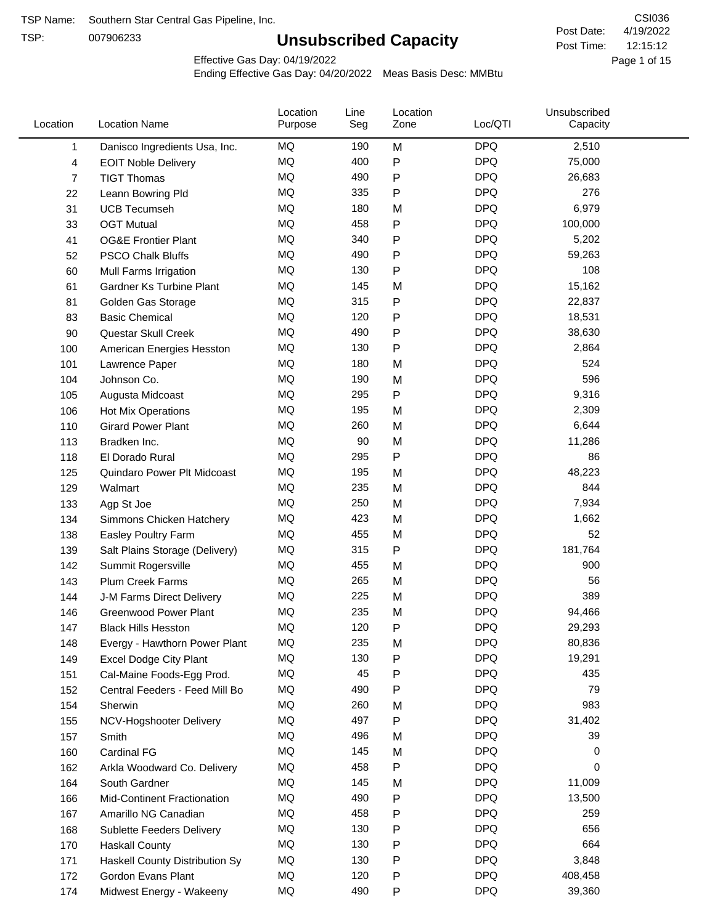TSP:

# **Unsubscribed Capacity**

4/19/2022 Page 1 of 15 12:15:12 CSI036 Post Date: Post Time:

Effective Gas Day: 04/19/2022

| Location | <b>Location Name</b>           | Location<br>Purpose | Line<br>Seg | Location<br>Zone | Loc/QTI    | Unsubscribed<br>Capacity |  |
|----------|--------------------------------|---------------------|-------------|------------------|------------|--------------------------|--|
| 1        | Danisco Ingredients Usa, Inc.  | MQ                  | 190         | M                | <b>DPQ</b> | 2,510                    |  |
| 4        | <b>EOIT Noble Delivery</b>     | <b>MQ</b>           | 400         | P                | <b>DPQ</b> | 75,000                   |  |
| 7        | <b>TIGT Thomas</b>             | <b>MQ</b>           | 490         | Ρ                | <b>DPQ</b> | 26,683                   |  |
| 22       | Leann Bowring Pld              | <b>MQ</b>           | 335         | P                | <b>DPQ</b> | 276                      |  |
| 31       | <b>UCB Tecumseh</b>            | <b>MQ</b>           | 180         | M                | <b>DPQ</b> | 6,979                    |  |
| 33       | <b>OGT Mutual</b>              | MQ                  | 458         | P                | <b>DPQ</b> | 100,000                  |  |
| 41       | <b>OG&amp;E Frontier Plant</b> | MQ                  | 340         | Ρ                | <b>DPQ</b> | 5,202                    |  |
| 52       | <b>PSCO Chalk Bluffs</b>       | <b>MQ</b>           | 490         | Ρ                | <b>DPQ</b> | 59,263                   |  |
| 60       | Mull Farms Irrigation          | MQ                  | 130         | P                | <b>DPQ</b> | 108                      |  |
| 61       | Gardner Ks Turbine Plant       | MQ                  | 145         | M                | <b>DPQ</b> | 15,162                   |  |
| 81       | Golden Gas Storage             | MQ                  | 315         | P                | <b>DPQ</b> | 22,837                   |  |
| 83       | <b>Basic Chemical</b>          | <b>MQ</b>           | 120         | Ρ                | <b>DPQ</b> | 18,531                   |  |
| 90       | Questar Skull Creek            | <b>MQ</b>           | 490         | P                | <b>DPQ</b> | 38,630                   |  |
| 100      | American Energies Hesston      | <b>MQ</b>           | 130         | Ρ                | <b>DPQ</b> | 2,864                    |  |
| 101      | Lawrence Paper                 | MQ                  | 180         | M                | <b>DPQ</b> | 524                      |  |
| 104      | Johnson Co.                    | MQ                  | 190         | M                | <b>DPQ</b> | 596                      |  |
| 105      | Augusta Midcoast               | <b>MQ</b>           | 295         | Ρ                | <b>DPQ</b> | 9,316                    |  |
| 106      | Hot Mix Operations             | <b>MQ</b>           | 195         | M                | <b>DPQ</b> | 2,309                    |  |
| 110      | <b>Girard Power Plant</b>      | <b>MQ</b>           | 260         | M                | <b>DPQ</b> | 6,644                    |  |
| 113      | Bradken Inc.                   | MQ                  | 90          | M                | <b>DPQ</b> | 11,286                   |  |
| 118      | El Dorado Rural                | MQ                  | 295         | Ρ                | <b>DPQ</b> | 86                       |  |
| 125      | Quindaro Power Plt Midcoast    | <b>MQ</b>           | 195         | M                | <b>DPQ</b> | 48,223                   |  |
| 129      | Walmart                        | <b>MQ</b>           | 235         | M                | <b>DPQ</b> | 844                      |  |
| 133      | Agp St Joe                     | MQ                  | 250         | M                | <b>DPQ</b> | 7,934                    |  |
| 134      | Simmons Chicken Hatchery       | MQ                  | 423         | M                | <b>DPQ</b> | 1,662                    |  |
| 138      | Easley Poultry Farm            | MQ                  | 455         | M                | <b>DPQ</b> | 52                       |  |
| 139      | Salt Plains Storage (Delivery) | <b>MQ</b>           | 315         | P                | <b>DPQ</b> | 181,764                  |  |
| 142      | Summit Rogersville             | MQ                  | 455         | M                | <b>DPQ</b> | 900                      |  |
| 143      | Plum Creek Farms               | MQ                  | 265         | M                | <b>DPQ</b> | 56                       |  |
| 144      | J-M Farms Direct Delivery      | MQ                  | 225         | M                | <b>DPQ</b> | 389                      |  |
| 146      | <b>Greenwood Power Plant</b>   | <b>MQ</b>           | 235         | M                | <b>DPQ</b> | 94,466                   |  |
| 147      | <b>Black Hills Hesston</b>     | MQ                  | 120         | Ρ                | <b>DPQ</b> | 29,293                   |  |
| 148      | Evergy - Hawthorn Power Plant  | MQ                  | 235         | M                | <b>DPQ</b> | 80,836                   |  |
| 149      | <b>Excel Dodge City Plant</b>  | MQ                  | 130         | Ρ                | <b>DPQ</b> | 19,291                   |  |
| 151      | Cal-Maine Foods-Egg Prod.      | MQ                  | 45          | Ρ                | <b>DPQ</b> | 435                      |  |
| 152      | Central Feeders - Feed Mill Bo | MQ                  | 490         | Ρ                | <b>DPQ</b> | 79                       |  |
| 154      | Sherwin                        | MQ                  | 260         | M                | <b>DPQ</b> | 983                      |  |
| 155      | NCV-Hogshooter Delivery        | MQ                  | 497         | P                | <b>DPQ</b> | 31,402                   |  |
| 157      | Smith                          | MQ                  | 496         | M                | <b>DPQ</b> | 39                       |  |
| 160      | Cardinal FG                    | MQ                  | 145         | M                | <b>DPQ</b> | 0                        |  |
| 162      | Arkla Woodward Co. Delivery    | MQ                  | 458         | P                | <b>DPQ</b> | 0                        |  |
| 164      | South Gardner                  | MQ                  | 145         | M                | <b>DPQ</b> | 11,009                   |  |
| 166      | Mid-Continent Fractionation    | MQ                  | 490         | Ρ                | <b>DPQ</b> | 13,500                   |  |
| 167      | Amarillo NG Canadian           | MQ                  | 458         | Ρ                | <b>DPQ</b> | 259                      |  |
| 168      | Sublette Feeders Delivery      | MQ                  | 130         | Ρ                | <b>DPQ</b> | 656                      |  |
| 170      | <b>Haskall County</b>          | MQ                  | 130         | Ρ                | <b>DPQ</b> | 664                      |  |
| 171      | Haskell County Distribution Sy | MQ                  | 130         | Ρ                | <b>DPQ</b> | 3,848                    |  |
| 172      | Gordon Evans Plant             | MQ                  | 120         | Ρ                | <b>DPQ</b> | 408,458                  |  |
| 174      | Midwest Energy - Wakeeny       | MQ                  | 490         | P                | <b>DPQ</b> | 39,360                   |  |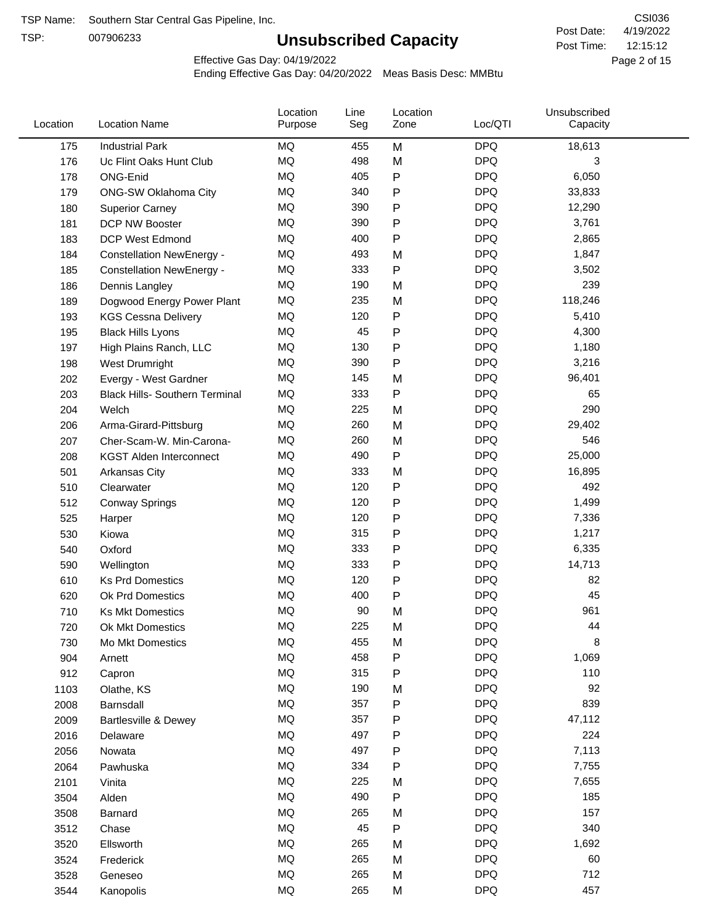TSP:

# **Unsubscribed Capacity**

4/19/2022 Page 2 of 15 12:15:12 CSI036 Post Date: Post Time:

Effective Gas Day: 04/19/2022

| Location | <b>Location Name</b>                  | Location<br>Purpose | Line<br>Seg | Location<br>Zone | Loc/QTI    | Unsubscribed<br>Capacity |  |
|----------|---------------------------------------|---------------------|-------------|------------------|------------|--------------------------|--|
| 175      | <b>Industrial Park</b>                | MQ                  | 455         | M                | <b>DPQ</b> | 18,613                   |  |
| 176      | Uc Flint Oaks Hunt Club               | <b>MQ</b>           | 498         | M                | <b>DPQ</b> | 3                        |  |
| 178      | ONG-Enid                              | MQ                  | 405         | P                | <b>DPQ</b> | 6,050                    |  |
| 179      | <b>ONG-SW Oklahoma City</b>           | MQ                  | 340         | P                | <b>DPQ</b> | 33,833                   |  |
| 180      | <b>Superior Carney</b>                | MQ                  | 390         | P                | <b>DPQ</b> | 12,290                   |  |
| 181      | DCP NW Booster                        | MQ                  | 390         | P                | <b>DPQ</b> | 3,761                    |  |
| 183      | DCP West Edmond                       | MQ                  | 400         | P                | <b>DPQ</b> | 2,865                    |  |
| 184      | <b>Constellation NewEnergy -</b>      | MQ                  | 493         | M                | <b>DPQ</b> | 1,847                    |  |
| 185      | <b>Constellation NewEnergy -</b>      | MQ                  | 333         | ${\sf P}$        | <b>DPQ</b> | 3,502                    |  |
| 186      | Dennis Langley                        | MQ                  | 190         | M                | <b>DPQ</b> | 239                      |  |
| 189      | Dogwood Energy Power Plant            | <b>MQ</b>           | 235         | M                | <b>DPQ</b> | 118,246                  |  |
| 193      | <b>KGS Cessna Delivery</b>            | <b>MQ</b>           | 120         | P                | <b>DPQ</b> | 5,410                    |  |
| 195      | <b>Black Hills Lyons</b>              | MQ                  | 45          | P                | <b>DPQ</b> | 4,300                    |  |
| 197      | High Plains Ranch, LLC                | <b>MQ</b>           | 130         | P                | <b>DPQ</b> | 1,180                    |  |
| 198      | West Drumright                        | <b>MQ</b>           | 390         | P                | <b>DPQ</b> | 3,216                    |  |
| 202      | Evergy - West Gardner                 | MQ                  | 145         | M                | <b>DPQ</b> | 96,401                   |  |
| 203      | <b>Black Hills- Southern Terminal</b> | MQ                  | 333         | ${\sf P}$        | <b>DPQ</b> | 65                       |  |
| 204      | Welch                                 | <b>MQ</b>           | 225         | M                | <b>DPQ</b> | 290                      |  |
| 206      | Arma-Girard-Pittsburg                 | <b>MQ</b>           | 260         | M                | <b>DPQ</b> | 29,402                   |  |
| 207      | Cher-Scam-W. Min-Carona-              | MQ                  | 260         | M                | <b>DPQ</b> | 546                      |  |
| 208      | <b>KGST Alden Interconnect</b>        | MQ                  | 490         | P                | <b>DPQ</b> | 25,000                   |  |
| 501      | Arkansas City                         | <b>MQ</b>           | 333         | M                | <b>DPQ</b> | 16,895                   |  |
| 510      | Clearwater                            | <b>MQ</b>           | 120         | P                | <b>DPQ</b> | 492                      |  |
| 512      | <b>Conway Springs</b>                 | <b>MQ</b>           | 120         | P                | <b>DPQ</b> | 1,499                    |  |
| 525      | Harper                                | <b>MQ</b>           | 120         | P                | <b>DPQ</b> | 7,336                    |  |
| 530      | Kiowa                                 | <b>MQ</b>           | 315         | P                | <b>DPQ</b> | 1,217                    |  |
| 540      | Oxford                                | <b>MQ</b>           | 333         | P                | <b>DPQ</b> | 6,335                    |  |
| 590      | Wellington                            | MQ                  | 333         | P                | <b>DPQ</b> | 14,713                   |  |
| 610      | <b>Ks Prd Domestics</b>               | MQ                  | 120         | P                | <b>DPQ</b> | 82                       |  |
| 620      | Ok Prd Domestics                      | MQ                  | 400         | P                | <b>DPQ</b> | 45                       |  |
| 710      | <b>Ks Mkt Domestics</b>               | <b>MQ</b>           | 90          | M                | <b>DPQ</b> | 961                      |  |
| 720      | Ok Mkt Domestics                      | MQ                  | 225         | M                | <b>DPQ</b> | 44                       |  |
| 730      | Mo Mkt Domestics                      | ΜQ                  | 455         | M                | <b>DPQ</b> | 8                        |  |
| 904      | Arnett                                | MQ                  | 458         | P                | <b>DPQ</b> | 1,069                    |  |
| 912      | Capron                                | MQ                  | 315         | P                | <b>DPQ</b> | 110                      |  |
| 1103     | Olathe, KS                            | MQ                  | 190         | M                | <b>DPQ</b> | 92                       |  |
| 2008     | Barnsdall                             | MQ                  | 357         | ${\sf P}$        | <b>DPQ</b> | 839                      |  |
| 2009     | Bartlesville & Dewey                  | MQ                  | 357         | P                | <b>DPQ</b> | 47,112                   |  |
| 2016     | Delaware                              | MQ                  | 497         | Ρ                | <b>DPQ</b> | 224                      |  |
| 2056     | Nowata                                | MQ                  | 497         | Ρ                | <b>DPQ</b> | 7,113                    |  |
| 2064     | Pawhuska                              | MQ                  | 334         | P                | <b>DPQ</b> | 7,755                    |  |
| 2101     | Vinita                                | MQ                  | 225         | M                | <b>DPQ</b> | 7,655                    |  |
| 3504     | Alden                                 | $\sf{MQ}$           | 490         | P                | <b>DPQ</b> | 185                      |  |
| 3508     | Barnard                               | MQ                  | 265         | M                | <b>DPQ</b> | 157                      |  |
| 3512     | Chase                                 | MQ                  | 45          | P                | <b>DPQ</b> | 340                      |  |
| 3520     | Ellsworth                             | MQ                  | 265         | M                | <b>DPQ</b> | 1,692                    |  |
| 3524     | Frederick                             | MQ                  | 265         | M                | <b>DPQ</b> | 60                       |  |
| 3528     | Geneseo                               | MQ                  | 265         | M                | <b>DPQ</b> | 712                      |  |
| 3544     | Kanopolis                             | $\sf{MQ}$           | 265         | M                | <b>DPQ</b> | 457                      |  |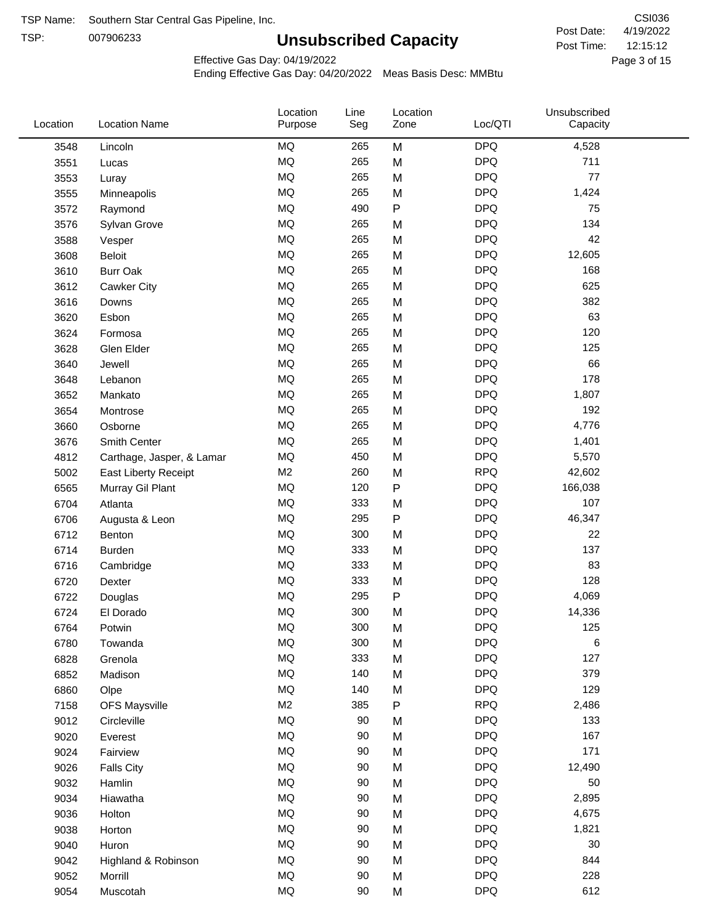TSP: 

# **Unsubscribed Capacity**

4/19/2022 Page 3 of 15 12:15:12 CSI036 Post Date: Post Time:

Effective Gas Day: 04/19/2022

| Location | <b>Location Name</b>        | Location<br>Purpose | Line<br>Seg | Location<br>Zone | Loc/QTI    | Unsubscribed<br>Capacity |  |
|----------|-----------------------------|---------------------|-------------|------------------|------------|--------------------------|--|
| 3548     | Lincoln                     | <b>MQ</b>           | 265         | M                | <b>DPQ</b> | 4,528                    |  |
| 3551     | Lucas                       | <b>MQ</b>           | 265         | M                | <b>DPQ</b> | 711                      |  |
| 3553     | Luray                       | <b>MQ</b>           | 265         | M                | <b>DPQ</b> | 77                       |  |
| 3555     | Minneapolis                 | <b>MQ</b>           | 265         | M                | <b>DPQ</b> | 1,424                    |  |
| 3572     | Raymond                     | <b>MQ</b>           | 490         | $\mathsf{P}$     | <b>DPQ</b> | 75                       |  |
| 3576     | Sylvan Grove                | <b>MQ</b>           | 265         | M                | <b>DPQ</b> | 134                      |  |
| 3588     | Vesper                      | <b>MQ</b>           | 265         | M                | <b>DPQ</b> | 42                       |  |
| 3608     | <b>Beloit</b>               | <b>MQ</b>           | 265         | M                | <b>DPQ</b> | 12,605                   |  |
| 3610     | <b>Burr Oak</b>             | <b>MQ</b>           | 265         | M                | <b>DPQ</b> | 168                      |  |
| 3612     | Cawker City                 | <b>MQ</b>           | 265         | M                | <b>DPQ</b> | 625                      |  |
| 3616     | Downs                       | <b>MQ</b>           | 265         | M                | <b>DPQ</b> | 382                      |  |
| 3620     | Esbon                       | <b>MQ</b>           | 265         | M                | <b>DPQ</b> | 63                       |  |
| 3624     | Formosa                     | <b>MQ</b>           | 265         | M                | <b>DPQ</b> | 120                      |  |
| 3628     | Glen Elder                  | <b>MQ</b>           | 265         | M                | <b>DPQ</b> | 125                      |  |
| 3640     | Jewell                      | <b>MQ</b>           | 265         | M                | <b>DPQ</b> | 66                       |  |
| 3648     | Lebanon                     | <b>MQ</b>           | 265         | M                | <b>DPQ</b> | 178                      |  |
| 3652     | Mankato                     | <b>MQ</b>           | 265         | M                | <b>DPQ</b> | 1,807                    |  |
| 3654     | Montrose                    | <b>MQ</b>           | 265         | M                | <b>DPQ</b> | 192                      |  |
| 3660     | Osborne                     | <b>MQ</b>           | 265         | M                | <b>DPQ</b> | 4,776                    |  |
| 3676     | Smith Center                | <b>MQ</b>           | 265         | M                | <b>DPQ</b> | 1,401                    |  |
| 4812     | Carthage, Jasper, & Lamar   | <b>MQ</b>           | 450         | M                | <b>DPQ</b> | 5,570                    |  |
| 5002     | <b>East Liberty Receipt</b> | M <sub>2</sub>      | 260         | M                | <b>RPQ</b> | 42,602                   |  |
| 6565     | Murray Gil Plant            | <b>MQ</b>           | 120         | P                | <b>DPQ</b> | 166,038                  |  |
| 6704     | Atlanta                     | <b>MQ</b>           | 333         | M                | <b>DPQ</b> | 107                      |  |
| 6706     | Augusta & Leon              | <b>MQ</b>           | 295         | ${\sf P}$        | <b>DPQ</b> | 46,347                   |  |
| 6712     | Benton                      | <b>MQ</b>           | 300         | M                | <b>DPQ</b> | 22                       |  |
| 6714     | Burden                      | <b>MQ</b>           | 333         | M                | <b>DPQ</b> | 137                      |  |
| 6716     | Cambridge                   | <b>MQ</b>           | 333         | M                | <b>DPQ</b> | 83                       |  |
| 6720     | Dexter                      | <b>MQ</b>           | 333         | M                | <b>DPQ</b> | 128                      |  |
| 6722     | Douglas                     | <b>MQ</b>           | 295         | P                | <b>DPQ</b> | 4,069                    |  |
| 6724     | El Dorado                   | <b>MQ</b>           | 300         | M                | <b>DPQ</b> | 14,336                   |  |
| 6764     | Potwin                      | MQ                  | 300         | M                | <b>DPQ</b> | 125                      |  |
| 6780     | Towanda                     | MQ                  | 300         | M                | <b>DPQ</b> | 6                        |  |
| 6828     | Grenola                     | MQ                  | 333         | M                | <b>DPQ</b> | 127                      |  |
| 6852     | Madison                     | <b>MQ</b>           | 140         | M                | <b>DPQ</b> | 379                      |  |
| 6860     | Olpe                        | MQ                  | 140         | M                | <b>DPQ</b> | 129                      |  |
| 7158     | <b>OFS Maysville</b>        | M <sub>2</sub>      | 385         | ${\sf P}$        | <b>RPQ</b> | 2,486                    |  |
| 9012     | Circleville                 | <b>MQ</b>           | 90          | M                | <b>DPQ</b> | 133                      |  |
| 9020     | Everest                     | $\sf{MQ}$           | 90          | M                | <b>DPQ</b> | 167                      |  |
| 9024     | Fairview                    | MQ                  | 90          | M                | <b>DPQ</b> | 171                      |  |
| 9026     | <b>Falls City</b>           | MQ                  | 90          | M                | <b>DPQ</b> | 12,490                   |  |
| 9032     | Hamlin                      | MQ                  | 90          | M                | <b>DPQ</b> | 50                       |  |
| 9034     | Hiawatha                    | <b>MQ</b>           | 90          | M                | <b>DPQ</b> | 2,895                    |  |
| 9036     | Holton                      | <b>MQ</b>           | 90          | M                | <b>DPQ</b> | 4,675                    |  |
| 9038     | Horton                      | <b>MQ</b>           | 90          | M                | <b>DPQ</b> | 1,821                    |  |
| 9040     | Huron                       | MQ                  | 90          | M                | <b>DPQ</b> | 30                       |  |
| 9042     | Highland & Robinson         | MQ                  | 90          | M                | <b>DPQ</b> | 844                      |  |
| 9052     | Morrill                     | MQ                  | 90          | M                | <b>DPQ</b> | 228                      |  |
| 9054     | Muscotah                    | MQ                  | 90          | M                | <b>DPQ</b> | 612                      |  |
|          |                             |                     |             |                  |            |                          |  |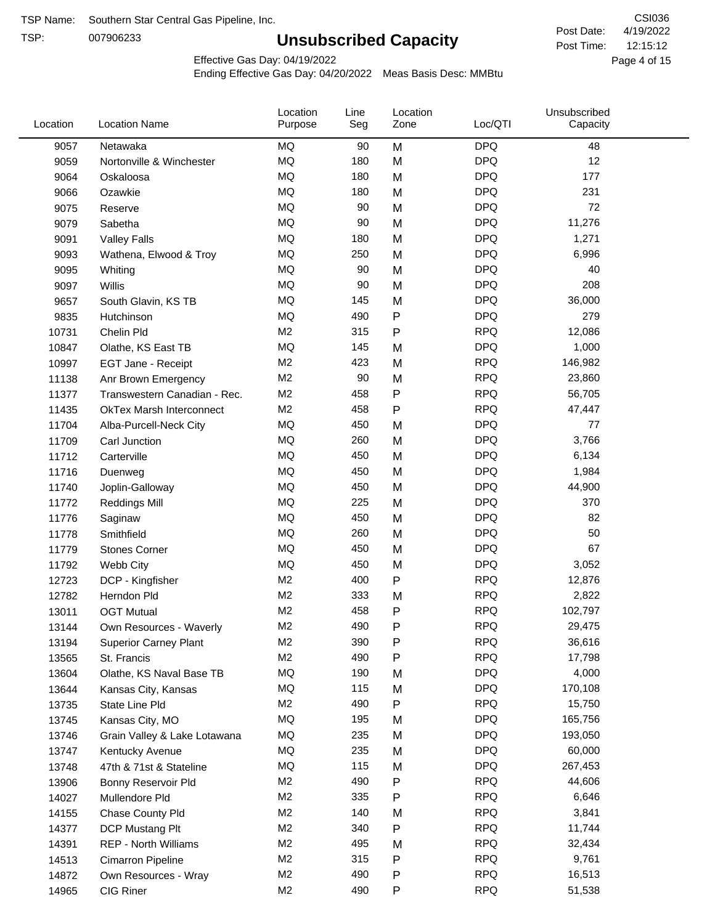TSP:

# **Unsubscribed Capacity**

4/19/2022 Page 4 of 15 12:15:12 CSI036 Post Date: Post Time:

Effective Gas Day: 04/19/2022

| Location | <b>Location Name</b>            | Location<br>Purpose | Line<br>Seg | Location<br>Zone | Loc/QTI    | Unsubscribed<br>Capacity |
|----------|---------------------------------|---------------------|-------------|------------------|------------|--------------------------|
| 9057     | Netawaka                        | <b>MQ</b>           | 90          | M                | <b>DPQ</b> | 48                       |
| 9059     | Nortonville & Winchester        | MQ                  | 180         | M                | <b>DPQ</b> | 12                       |
| 9064     | Oskaloosa                       | <b>MQ</b>           | 180         | M                | <b>DPQ</b> | 177                      |
| 9066     | Ozawkie                         | <b>MQ</b>           | 180         | M                | <b>DPQ</b> | 231                      |
| 9075     | Reserve                         | <b>MQ</b>           | 90          | M                | <b>DPQ</b> | 72                       |
| 9079     | Sabetha                         | <b>MQ</b>           | 90          | M                | <b>DPQ</b> | 11,276                   |
| 9091     | <b>Valley Falls</b>             | MQ                  | 180         | M                | <b>DPQ</b> | 1,271                    |
| 9093     | Wathena, Elwood & Troy          | MQ                  | 250         | M                | <b>DPQ</b> | 6,996                    |
| 9095     | Whiting                         | <b>MQ</b>           | 90          | M                | <b>DPQ</b> | 40                       |
| 9097     | Willis                          | <b>MQ</b>           | 90          | M                | <b>DPQ</b> | 208                      |
| 9657     | South Glavin, KS TB             | MQ                  | 145         | M                | <b>DPQ</b> | 36,000                   |
| 9835     | Hutchinson                      | <b>MQ</b>           | 490         | P                | <b>DPQ</b> | 279                      |
| 10731    | Chelin Pld                      | M2                  | 315         | P                | <b>RPQ</b> | 12,086                   |
| 10847    | Olathe, KS East TB              | <b>MQ</b>           | 145         | M                | <b>DPQ</b> | 1,000                    |
| 10997    | EGT Jane - Receipt              | M <sub>2</sub>      | 423         | M                | <b>RPQ</b> | 146,982                  |
| 11138    | Anr Brown Emergency             | M2                  | 90          | M                | <b>RPQ</b> | 23,860                   |
| 11377    | Transwestern Canadian - Rec.    | M2                  | 458         | P                | <b>RPQ</b> | 56,705                   |
| 11435    | <b>OkTex Marsh Interconnect</b> | M <sub>2</sub>      | 458         | P                | <b>RPQ</b> | 47,447                   |
| 11704    | Alba-Purcell-Neck City          | <b>MQ</b>           | 450         | M                | <b>DPQ</b> | 77                       |
| 11709    | Carl Junction                   | <b>MQ</b>           | 260         | M                | <b>DPQ</b> | 3,766                    |
| 11712    | Carterville                     | MQ                  | 450         | M                | <b>DPQ</b> | 6,134                    |
| 11716    | Duenweg                         | <b>MQ</b>           | 450         | M                | <b>DPQ</b> | 1,984                    |
| 11740    | Joplin-Galloway                 | MQ                  | 450         | M                | <b>DPQ</b> | 44,900                   |
| 11772    | <b>Reddings Mill</b>            | <b>MQ</b>           | 225         | M                | <b>DPQ</b> | 370                      |
| 11776    | Saginaw                         | <b>MQ</b>           | 450         | M                | <b>DPQ</b> | 82                       |
| 11778    | Smithfield                      | <b>MQ</b>           | 260         | M                | <b>DPQ</b> | 50                       |
| 11779    | <b>Stones Corner</b>            | <b>MQ</b>           | 450         | M                | <b>DPQ</b> | 67                       |
| 11792    | Webb City                       | <b>MQ</b>           | 450         | M                | <b>DPQ</b> | 3,052                    |
| 12723    | DCP - Kingfisher                | M <sub>2</sub>      | 400         | P                | <b>RPQ</b> | 12,876                   |
| 12782    | Herndon Pld                     | M2                  | 333         | M                | <b>RPQ</b> | 2,822                    |
| 13011    | <b>OGT Mutual</b>               | M <sub>2</sub>      | 458         | P                | <b>RPQ</b> | 102,797                  |
| 13144    | Own Resources - Waverly         | M <sub>2</sub>      | 490         | P                | <b>RPQ</b> | 29,475                   |
| 13194    | <b>Superior Carney Plant</b>    | M <sub>2</sub>      | 390         | P                | <b>RPQ</b> | 36,616                   |
| 13565    | St. Francis                     | M <sub>2</sub>      | 490         | Ρ                | <b>RPQ</b> | 17,798                   |
| 13604    | Olathe, KS Naval Base TB        | MQ                  | 190         | M                | <b>DPQ</b> | 4,000                    |
| 13644    | Kansas City, Kansas             | MQ                  | 115         | M                | <b>DPQ</b> | 170,108                  |
| 13735    | State Line Pld                  | M <sub>2</sub>      | 490         | P                | <b>RPQ</b> | 15,750                   |
| 13745    | Kansas City, MO                 | MQ                  | 195         | M                | <b>DPQ</b> | 165,756                  |
| 13746    | Grain Valley & Lake Lotawana    | MQ                  | 235         | M                | <b>DPQ</b> | 193,050                  |
| 13747    | Kentucky Avenue                 | MQ                  | 235         | M                | <b>DPQ</b> | 60,000                   |
| 13748    | 47th & 71st & Stateline         | MQ                  | 115         | M                | <b>DPQ</b> | 267,453                  |
| 13906    | Bonny Reservoir Pld             | M <sub>2</sub>      | 490         | P                | <b>RPQ</b> | 44,606                   |
| 14027    | Mullendore Pld                  | M <sub>2</sub>      | 335         | Ρ                | <b>RPQ</b> | 6,646                    |
| 14155    | Chase County Pld                | M <sub>2</sub>      | 140         | M                | <b>RPQ</b> | 3,841                    |
| 14377    | DCP Mustang Plt                 | M <sub>2</sub>      | 340         | P                | <b>RPQ</b> | 11,744                   |
| 14391    | <b>REP - North Williams</b>     | M <sub>2</sub>      | 495         | M                | <b>RPQ</b> | 32,434                   |
| 14513    | Cimarron Pipeline               | M <sub>2</sub>      | 315         | P                | <b>RPQ</b> | 9,761                    |
| 14872    | Own Resources - Wray            | M <sub>2</sub>      | 490         | P                | <b>RPQ</b> | 16,513                   |
| 14965    | CIG Riner                       | M <sub>2</sub>      | 490         | P                | <b>RPQ</b> | 51,538                   |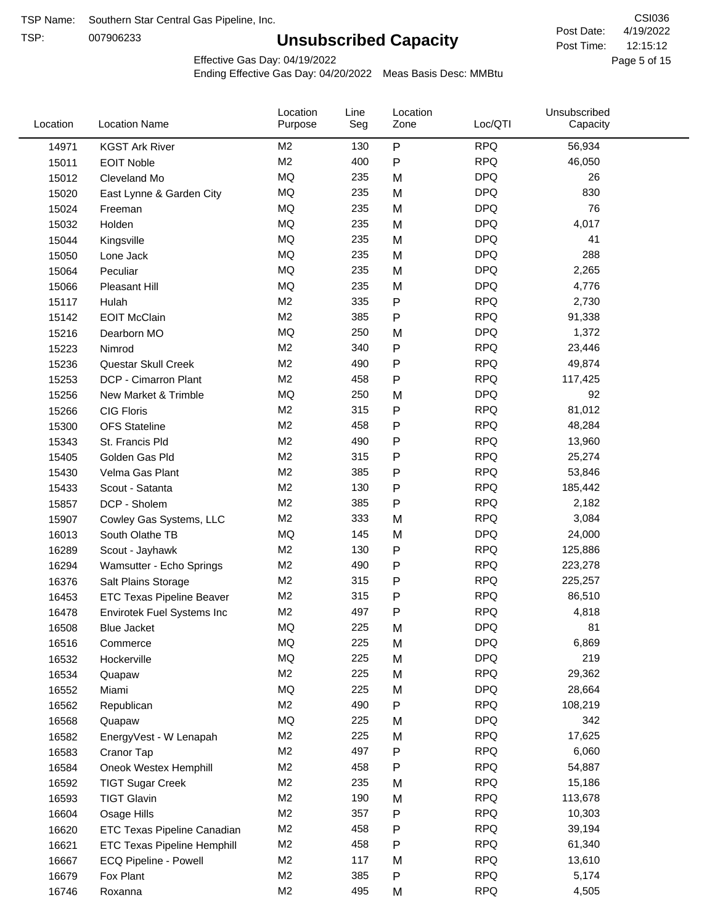TSP:

# **Unsubscribed Capacity**

4/19/2022 Page 5 of 15 12:15:12 CSI036 Post Date: Post Time:

Effective Gas Day: 04/19/2022

| Location | <b>Location Name</b>               | Location<br>Purpose | Line<br>Seg | Location<br>Zone | Loc/QTI    | Unsubscribed<br>Capacity |  |
|----------|------------------------------------|---------------------|-------------|------------------|------------|--------------------------|--|
| 14971    | <b>KGST Ark River</b>              | M <sub>2</sub>      | 130         | P                | <b>RPQ</b> | 56,934                   |  |
| 15011    | <b>EOIT Noble</b>                  | M <sub>2</sub>      | 400         | P                | <b>RPQ</b> | 46,050                   |  |
| 15012    | Cleveland Mo                       | MQ                  | 235         | M                | <b>DPQ</b> | 26                       |  |
| 15020    | East Lynne & Garden City           | <b>MQ</b>           | 235         | M                | <b>DPQ</b> | 830                      |  |
| 15024    | Freeman                            | <b>MQ</b>           | 235         | M                | <b>DPQ</b> | 76                       |  |
| 15032    | Holden                             | <b>MQ</b>           | 235         | M                | <b>DPQ</b> | 4,017                    |  |
| 15044    | Kingsville                         | <b>MQ</b>           | 235         | M                | <b>DPQ</b> | 41                       |  |
| 15050    | Lone Jack                          | <b>MQ</b>           | 235         | M                | <b>DPQ</b> | 288                      |  |
| 15064    | Peculiar                           | <b>MQ</b>           | 235         | M                | <b>DPQ</b> | 2,265                    |  |
| 15066    | <b>Pleasant Hill</b>               | MQ                  | 235         | M                | <b>DPQ</b> | 4,776                    |  |
| 15117    | Hulah                              | M <sub>2</sub>      | 335         | P                | <b>RPQ</b> | 2,730                    |  |
| 15142    | <b>EOIT McClain</b>                | M <sub>2</sub>      | 385         | Ρ                | <b>RPQ</b> | 91,338                   |  |
| 15216    | Dearborn MO                        | <b>MQ</b>           | 250         | M                | <b>DPQ</b> | 1,372                    |  |
| 15223    | Nimrod                             | M <sub>2</sub>      | 340         | P                | <b>RPQ</b> | 23,446                   |  |
| 15236    | Questar Skull Creek                | M <sub>2</sub>      | 490         | P                | <b>RPQ</b> | 49,874                   |  |
| 15253    | <b>DCP - Cimarron Plant</b>        | M <sub>2</sub>      | 458         | Ρ                | <b>RPQ</b> | 117,425                  |  |
| 15256    | New Market & Trimble               | MQ                  | 250         | M                | <b>DPQ</b> | 92                       |  |
| 15266    | <b>CIG Floris</b>                  | M <sub>2</sub>      | 315         | P                | <b>RPQ</b> | 81,012                   |  |
| 15300    | <b>OFS Stateline</b>               | M <sub>2</sub>      | 458         | P                | <b>RPQ</b> | 48,284                   |  |
| 15343    | St. Francis Pld                    | M <sub>2</sub>      | 490         | P                | <b>RPQ</b> | 13,960                   |  |
| 15405    | Golden Gas Pld                     | M <sub>2</sub>      | 315         | P                | <b>RPQ</b> | 25,274                   |  |
| 15430    | Velma Gas Plant                    | M <sub>2</sub>      | 385         | P                | <b>RPQ</b> | 53,846                   |  |
| 15433    | Scout - Satanta                    | M <sub>2</sub>      | 130         | P                | <b>RPQ</b> | 185,442                  |  |
| 15857    | DCP - Sholem                       | M <sub>2</sub>      | 385         | P                | <b>RPQ</b> | 2,182                    |  |
| 15907    | Cowley Gas Systems, LLC            | M <sub>2</sub>      | 333         | M                | <b>RPQ</b> | 3,084                    |  |
| 16013    | South Olathe TB                    | MQ                  | 145         | M                | <b>DPQ</b> | 24,000                   |  |
| 16289    | Scout - Jayhawk                    | M <sub>2</sub>      | 130         | P                | <b>RPQ</b> | 125,886                  |  |
| 16294    | Wamsutter - Echo Springs           | M <sub>2</sub>      | 490         | P                | <b>RPQ</b> | 223,278                  |  |
| 16376    | Salt Plains Storage                | M <sub>2</sub>      | 315         | P                | <b>RPQ</b> | 225,257                  |  |
| 16453    | <b>ETC Texas Pipeline Beaver</b>   | M <sub>2</sub>      | 315         | P                | <b>RPQ</b> | 86,510                   |  |
| 16478    | Envirotek Fuel Systems Inc         | M <sub>2</sub>      | 497         | P                | <b>RPQ</b> | 4,818                    |  |
| 16508    | <b>Blue Jacket</b>                 | MQ                  | 225         | M                | <b>DPQ</b> | 81                       |  |
| 16516    | Commerce                           | MQ                  | 225         | M                | <b>DPQ</b> | 6,869                    |  |
| 16532    | Hockerville                        | MQ                  | 225         | M                | <b>DPQ</b> | 219                      |  |
| 16534    | Quapaw                             | M <sub>2</sub>      | 225         | M                | <b>RPQ</b> | 29,362                   |  |
| 16552    | Miami                              | <b>MQ</b>           | 225         | M                | <b>DPQ</b> | 28,664                   |  |
| 16562    | Republican                         | M <sub>2</sub>      | 490         | P                | <b>RPQ</b> | 108,219                  |  |
| 16568    | Quapaw                             | <b>MQ</b>           | 225         | M                | <b>DPQ</b> | 342                      |  |
| 16582    | EnergyVest - W Lenapah             | M <sub>2</sub>      | 225         | M                | <b>RPQ</b> | 17,625                   |  |
| 16583    | Cranor Tap                         | M <sub>2</sub>      | 497         | Ρ                | <b>RPQ</b> | 6,060                    |  |
| 16584    | Oneok Westex Hemphill              | M <sub>2</sub>      | 458         | Ρ                | <b>RPQ</b> | 54,887                   |  |
| 16592    | <b>TIGT Sugar Creek</b>            | M <sub>2</sub>      | 235         | M                | <b>RPQ</b> | 15,186                   |  |
| 16593    | <b>TIGT Glavin</b>                 | M <sub>2</sub>      | 190         | M                | <b>RPQ</b> | 113,678                  |  |
| 16604    | Osage Hills                        | M <sub>2</sub>      | 357         | P                | <b>RPQ</b> | 10,303                   |  |
| 16620    | ETC Texas Pipeline Canadian        | M <sub>2</sub>      | 458         | Ρ                | <b>RPQ</b> | 39,194                   |  |
| 16621    | <b>ETC Texas Pipeline Hemphill</b> | M <sub>2</sub>      | 458         | Ρ                | <b>RPQ</b> | 61,340                   |  |
| 16667    | ECQ Pipeline - Powell              | M <sub>2</sub>      | 117         | M                | <b>RPQ</b> | 13,610                   |  |
| 16679    | Fox Plant                          | M <sub>2</sub>      | 385         | Ρ                | <b>RPQ</b> | 5,174                    |  |
| 16746    | Roxanna                            | M <sub>2</sub>      | 495         | M                | <b>RPQ</b> | 4,505                    |  |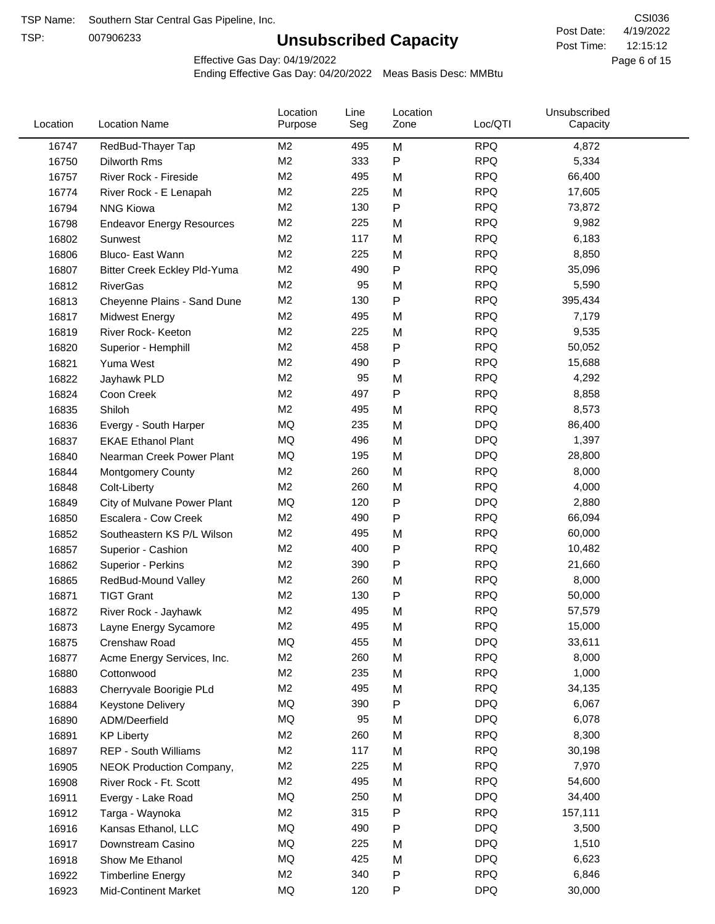TSP:

# **Unsubscribed Capacity**

4/19/2022 Page 6 of 15 12:15:12 CSI036 Post Date: Post Time:

Effective Gas Day: 04/19/2022

| Location | <b>Location Name</b>                | Location<br>Purpose | Line<br>Seg | Location<br>Zone | Loc/QTI    | Unsubscribed<br>Capacity |  |
|----------|-------------------------------------|---------------------|-------------|------------------|------------|--------------------------|--|
| 16747    | RedBud-Thayer Tap                   | M2                  | 495         | M                | <b>RPQ</b> | 4,872                    |  |
| 16750    | Dilworth Rms                        | M <sub>2</sub>      | 333         | P                | <b>RPQ</b> | 5,334                    |  |
| 16757    | River Rock - Fireside               | M <sub>2</sub>      | 495         | M                | <b>RPQ</b> | 66,400                   |  |
| 16774    | River Rock - E Lenapah              | M <sub>2</sub>      | 225         | M                | <b>RPQ</b> | 17,605                   |  |
| 16794    | <b>NNG Kiowa</b>                    | M <sub>2</sub>      | 130         | P                | <b>RPQ</b> | 73,872                   |  |
| 16798    | <b>Endeavor Energy Resources</b>    | M <sub>2</sub>      | 225         | M                | <b>RPQ</b> | 9,982                    |  |
| 16802    | Sunwest                             | M <sub>2</sub>      | 117         | M                | <b>RPQ</b> | 6,183                    |  |
| 16806    | Bluco- East Wann                    | M <sub>2</sub>      | 225         | M                | <b>RPQ</b> | 8,850                    |  |
| 16807    | <b>Bitter Creek Eckley Pld-Yuma</b> | M <sub>2</sub>      | 490         | P                | <b>RPQ</b> | 35,096                   |  |
| 16812    | <b>RiverGas</b>                     | M <sub>2</sub>      | 95          | M                | <b>RPQ</b> | 5,590                    |  |
| 16813    | Cheyenne Plains - Sand Dune         | M <sub>2</sub>      | 130         | P                | <b>RPQ</b> | 395,434                  |  |
| 16817    | <b>Midwest Energy</b>               | M <sub>2</sub>      | 495         | M                | <b>RPQ</b> | 7,179                    |  |
| 16819    | River Rock- Keeton                  | M <sub>2</sub>      | 225         | M                | <b>RPQ</b> | 9,535                    |  |
| 16820    | Superior - Hemphill                 | M <sub>2</sub>      | 458         | Ρ                | <b>RPQ</b> | 50,052                   |  |
| 16821    | Yuma West                           | M <sub>2</sub>      | 490         | P                | <b>RPQ</b> | 15,688                   |  |
| 16822    | Jayhawk PLD                         | M <sub>2</sub>      | 95          | M                | <b>RPQ</b> | 4,292                    |  |
| 16824    | Coon Creek                          | M <sub>2</sub>      | 497         | P                | <b>RPQ</b> | 8,858                    |  |
| 16835    | Shiloh                              | M2                  | 495         | M                | <b>RPQ</b> | 8,573                    |  |
| 16836    | Evergy - South Harper               | MQ                  | 235         | M                | <b>DPQ</b> | 86,400                   |  |
| 16837    | <b>EKAE Ethanol Plant</b>           | MQ                  | 496         | M                | <b>DPQ</b> | 1,397                    |  |
| 16840    | Nearman Creek Power Plant           | MQ                  | 195         | M                | <b>DPQ</b> | 28,800                   |  |
| 16844    | <b>Montgomery County</b>            | M <sub>2</sub>      | 260         | M                | <b>RPQ</b> | 8,000                    |  |
| 16848    | Colt-Liberty                        | M <sub>2</sub>      | 260         | M                | <b>RPQ</b> | 4,000                    |  |
| 16849    | City of Mulvane Power Plant         | <b>MQ</b>           | 120         | P                | <b>DPQ</b> | 2,880                    |  |
| 16850    | Escalera - Cow Creek                | M <sub>2</sub>      | 490         | Ρ                | <b>RPQ</b> | 66,094                   |  |
| 16852    | Southeastern KS P/L Wilson          | M <sub>2</sub>      | 495         | M                | <b>RPQ</b> | 60,000                   |  |
| 16857    | Superior - Cashion                  | M <sub>2</sub>      | 400         | Ρ                | <b>RPQ</b> | 10,482                   |  |
| 16862    | Superior - Perkins                  | M <sub>2</sub>      | 390         | Ρ                | <b>RPQ</b> | 21,660                   |  |
| 16865    | RedBud-Mound Valley                 | M <sub>2</sub>      | 260         | M                | <b>RPQ</b> | 8,000                    |  |
| 16871    | <b>TIGT Grant</b>                   | M <sub>2</sub>      | 130         | Ρ                | <b>RPQ</b> | 50,000                   |  |
| 16872    | River Rock - Jayhawk                | M <sub>2</sub>      | 495         | M                | <b>RPQ</b> | 57,579                   |  |
| 16873    | Layne Energy Sycamore               | M <sub>2</sub>      | 495         | M                | <b>RPQ</b> | 15,000                   |  |
| 16875    | Crenshaw Road                       | MQ                  | 455         | M                | <b>DPQ</b> | 33,611                   |  |
| 16877    | Acme Energy Services, Inc.          | M <sub>2</sub>      | 260         | M                | <b>RPQ</b> | 8,000                    |  |
| 16880    | Cottonwood                          | M <sub>2</sub>      | 235         | M                | <b>RPQ</b> | 1,000                    |  |
| 16883    | Cherryvale Boorigie PLd             | M <sub>2</sub>      | 495         | M                | <b>RPQ</b> | 34,135                   |  |
| 16884    | Keystone Delivery                   | MQ                  | 390         | Ρ                | <b>DPQ</b> | 6,067                    |  |
| 16890    | ADM/Deerfield                       | MQ                  | 95          | M                | <b>DPQ</b> | 6,078                    |  |
| 16891    | <b>KP Liberty</b>                   | M <sub>2</sub>      | 260         | M                | <b>RPQ</b> | 8,300                    |  |
| 16897    | <b>REP - South Williams</b>         | M <sub>2</sub>      | 117         | M                | <b>RPQ</b> | 30,198                   |  |
| 16905    | NEOK Production Company,            | M <sub>2</sub>      | 225         | M                | <b>RPQ</b> | 7,970                    |  |
| 16908    | River Rock - Ft. Scott              | M <sub>2</sub>      | 495         | M                | <b>RPQ</b> | 54,600                   |  |
| 16911    | Evergy - Lake Road                  | MQ                  | 250         | M                | <b>DPQ</b> | 34,400                   |  |
| 16912    | Targa - Waynoka                     | M <sub>2</sub>      | 315         | Ρ                | <b>RPQ</b> | 157,111                  |  |
| 16916    | Kansas Ethanol, LLC                 | MQ                  | 490         | Ρ                | <b>DPQ</b> | 3,500                    |  |
| 16917    | Downstream Casino                   | MQ                  | 225         | M                | <b>DPQ</b> | 1,510                    |  |
| 16918    | Show Me Ethanol                     | MQ                  | 425         | M                | <b>DPQ</b> | 6,623                    |  |
| 16922    | <b>Timberline Energy</b>            | M <sub>2</sub>      | 340         | Ρ                | <b>RPQ</b> | 6,846                    |  |
| 16923    | <b>Mid-Continent Market</b>         | MQ                  | 120         | Ρ                | <b>DPQ</b> | 30,000                   |  |
|          |                                     |                     |             |                  |            |                          |  |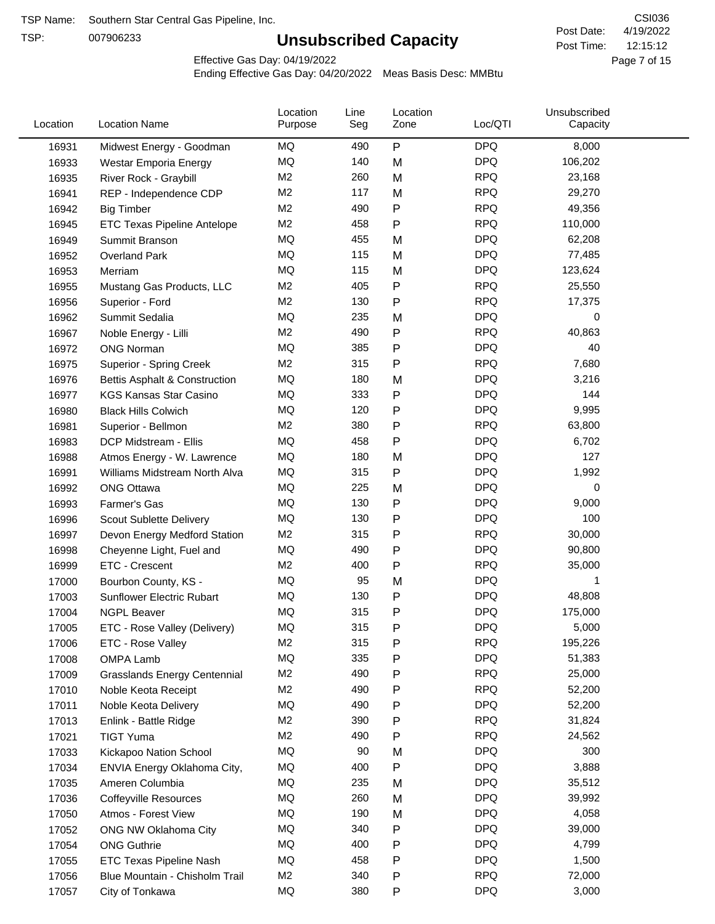TSP:

# **Unsubscribed Capacity**

4/19/2022 Page 7 of 15 12:15:12 CSI036 Post Date: Post Time:

Effective Gas Day: 04/19/2022

| Location | <b>Location Name</b>                | Location<br>Purpose | Line<br>Seg | Location<br>Zone | Loc/QTI    | Unsubscribed<br>Capacity |  |
|----------|-------------------------------------|---------------------|-------------|------------------|------------|--------------------------|--|
| 16931    | Midwest Energy - Goodman            | MQ                  | 490         | P                | <b>DPQ</b> | 8,000                    |  |
| 16933    | Westar Emporia Energy               | MQ                  | 140         | M                | <b>DPQ</b> | 106,202                  |  |
| 16935    | River Rock - Graybill               | M <sub>2</sub>      | 260         | M                | <b>RPQ</b> | 23,168                   |  |
| 16941    | REP - Independence CDP              | M <sub>2</sub>      | 117         | M                | <b>RPQ</b> | 29,270                   |  |
| 16942    | <b>Big Timber</b>                   | M <sub>2</sub>      | 490         | $\mathsf{P}$     | <b>RPQ</b> | 49,356                   |  |
| 16945    | <b>ETC Texas Pipeline Antelope</b>  | M <sub>2</sub>      | 458         | $\mathsf{P}$     | <b>RPQ</b> | 110,000                  |  |
| 16949    | Summit Branson                      | MQ                  | 455         | M                | <b>DPQ</b> | 62,208                   |  |
| 16952    | <b>Overland Park</b>                | MQ                  | 115         | M                | <b>DPQ</b> | 77,485                   |  |
| 16953    | Merriam                             | MQ                  | 115         | M                | <b>DPQ</b> | 123,624                  |  |
| 16955    | Mustang Gas Products, LLC           | M <sub>2</sub>      | 405         | P                | <b>RPQ</b> | 25,550                   |  |
| 16956    | Superior - Ford                     | M <sub>2</sub>      | 130         | $\mathsf{P}$     | <b>RPQ</b> | 17,375                   |  |
| 16962    | Summit Sedalia                      | MQ                  | 235         | M                | <b>DPQ</b> | 0                        |  |
| 16967    | Noble Energy - Lilli                | M <sub>2</sub>      | 490         | P                | <b>RPQ</b> | 40,863                   |  |
| 16972    | <b>ONG Norman</b>                   | MQ                  | 385         | P                | <b>DPQ</b> | 40                       |  |
| 16975    | Superior - Spring Creek             | M <sub>2</sub>      | 315         | P                | <b>RPQ</b> | 7,680                    |  |
| 16976    | Bettis Asphalt & Construction       | MQ                  | 180         | M                | <b>DPQ</b> | 3,216                    |  |
| 16977    | <b>KGS Kansas Star Casino</b>       | MQ                  | 333         | ${\sf P}$        | <b>DPQ</b> | 144                      |  |
| 16980    | <b>Black Hills Colwich</b>          | MQ                  | 120         | P                | <b>DPQ</b> | 9,995                    |  |
| 16981    | Superior - Bellmon                  | M <sub>2</sub>      | 380         | P                | <b>RPQ</b> | 63,800                   |  |
| 16983    | DCP Midstream - Ellis               | MQ                  | 458         | $\mathsf{P}$     | <b>DPQ</b> | 6,702                    |  |
| 16988    | Atmos Energy - W. Lawrence          | MQ                  | 180         | M                | <b>DPQ</b> | 127                      |  |
| 16991    | Williams Midstream North Alva       | <b>MQ</b>           | 315         | $\mathsf{P}$     | <b>DPQ</b> | 1,992                    |  |
| 16992    | <b>ONG Ottawa</b>                   | MQ                  | 225         | M                | <b>DPQ</b> | 0                        |  |
| 16993    | Farmer's Gas                        | MQ                  | 130         | $\mathsf{P}$     | <b>DPQ</b> | 9,000                    |  |
| 16996    | Scout Sublette Delivery             | MQ                  | 130         | $\mathsf{P}$     | <b>DPQ</b> | 100                      |  |
| 16997    | Devon Energy Medford Station        | M <sub>2</sub>      | 315         | P                | <b>RPQ</b> | 30,000                   |  |
| 16998    | Cheyenne Light, Fuel and            | MQ                  | 490         | P                | <b>DPQ</b> | 90,800                   |  |
| 16999    | ETC - Crescent                      | M <sub>2</sub>      | 400         | P                | <b>RPQ</b> | 35,000                   |  |
| 17000    | Bourbon County, KS -                | MQ                  | 95          | M                | <b>DPQ</b> | 1                        |  |
| 17003    | Sunflower Electric Rubart           | MQ                  | 130         | P                | <b>DPQ</b> | 48,808                   |  |
| 17004    | <b>NGPL Beaver</b>                  | MQ                  | 315         | P                | <b>DPQ</b> | 175,000                  |  |
| 17005    | ETC - Rose Valley (Delivery)        | MQ                  | 315         | P                | <b>DPQ</b> | 5,000                    |  |
| 17006    | ETC - Rose Valley                   | M <sub>2</sub>      | 315         | P                | <b>RPQ</b> | 195,226                  |  |
| 17008    | OMPA Lamb                           | MQ                  | 335         | P                | <b>DPQ</b> | 51,383                   |  |
| 17009    | <b>Grasslands Energy Centennial</b> | M <sub>2</sub>      | 490         | P                | <b>RPQ</b> | 25,000                   |  |
| 17010    | Noble Keota Receipt                 | M <sub>2</sub>      | 490         | P                | <b>RPQ</b> | 52,200                   |  |
| 17011    | Noble Keota Delivery                | MQ                  | 490         | P                | <b>DPQ</b> | 52,200                   |  |
| 17013    | Enlink - Battle Ridge               | M <sub>2</sub>      | 390         | $\mathsf{P}$     | <b>RPQ</b> | 31,824                   |  |
| 17021    | <b>TIGT Yuma</b>                    | M <sub>2</sub>      | 490         | P                | <b>RPQ</b> | 24,562                   |  |
| 17033    | Kickapoo Nation School              | MQ                  | 90          | M                | <b>DPQ</b> | 300                      |  |
| 17034    | ENVIA Energy Oklahoma City,         | MQ                  | 400         | P                | <b>DPQ</b> | 3,888                    |  |
| 17035    | Ameren Columbia                     | MQ                  | 235         | M                | <b>DPQ</b> | 35,512                   |  |
| 17036    | <b>Coffeyville Resources</b>        | MQ                  | 260         | M                | <b>DPQ</b> | 39,992                   |  |
| 17050    | Atmos - Forest View                 | MQ                  | 190         | M                | <b>DPQ</b> | 4,058                    |  |
| 17052    | ONG NW Oklahoma City                | MQ                  | 340         | ${\sf P}$        | <b>DPQ</b> | 39,000                   |  |
| 17054    | <b>ONG Guthrie</b>                  | MQ                  | 400         | P                | <b>DPQ</b> | 4,799                    |  |
| 17055    | ETC Texas Pipeline Nash             | MQ                  | 458         | $\mathsf{P}$     | <b>DPQ</b> | 1,500                    |  |
| 17056    | Blue Mountain - Chisholm Trail      | M <sub>2</sub>      | 340         | P                | <b>RPQ</b> | 72,000                   |  |
| 17057    | City of Tonkawa                     | MQ                  | 380         | P                | <b>DPQ</b> | 3,000                    |  |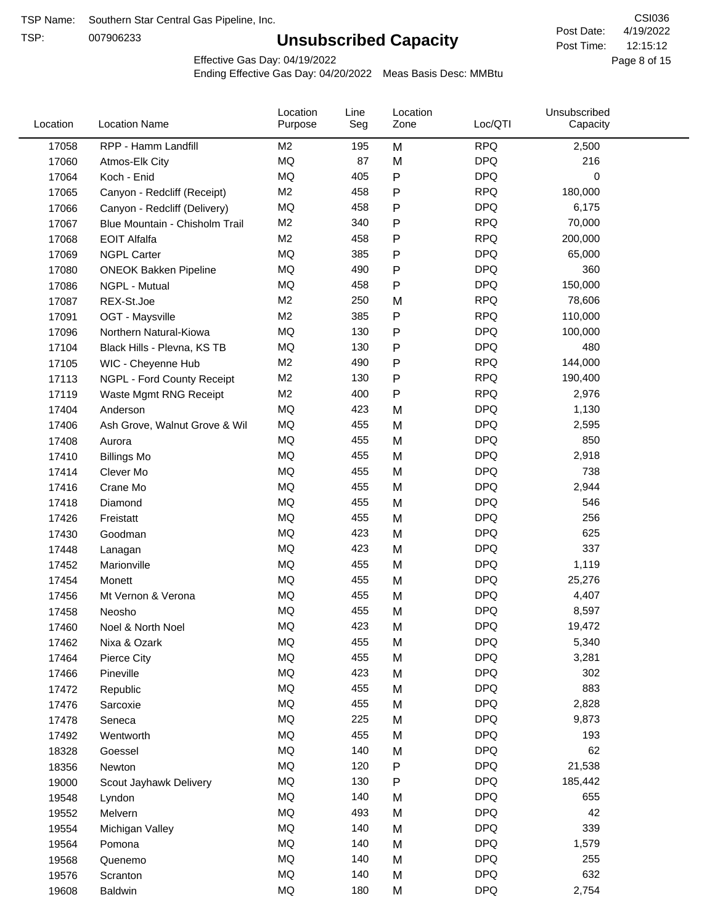TSP:

# **Unsubscribed Capacity**

4/19/2022 Page 8 of 15 12:15:12 CSI036 Post Date: Post Time:

Effective Gas Day: 04/19/2022

| Location | <b>Location Name</b>           | Location<br>Purpose | Line<br>Seg | Location<br>Zone | Loc/QTI    | Unsubscribed<br>Capacity |  |
|----------|--------------------------------|---------------------|-------------|------------------|------------|--------------------------|--|
| 17058    | RPP - Hamm Landfill            | M <sub>2</sub>      | 195         | M                | <b>RPQ</b> | 2,500                    |  |
| 17060    | Atmos-Elk City                 | MQ                  | 87          | M                | <b>DPQ</b> | 216                      |  |
| 17064    | Koch - Enid                    | MQ                  | 405         | P                | <b>DPQ</b> | 0                        |  |
| 17065    | Canyon - Redcliff (Receipt)    | M <sub>2</sub>      | 458         | Ρ                | <b>RPQ</b> | 180,000                  |  |
| 17066    | Canyon - Redcliff (Delivery)   | <b>MQ</b>           | 458         | P                | <b>DPQ</b> | 6,175                    |  |
| 17067    | Blue Mountain - Chisholm Trail | M <sub>2</sub>      | 340         | P                | <b>RPQ</b> | 70,000                   |  |
| 17068    | <b>EOIT Alfalfa</b>            | M <sub>2</sub>      | 458         | P                | <b>RPQ</b> | 200,000                  |  |
| 17069    | <b>NGPL Carter</b>             | <b>MQ</b>           | 385         | P                | <b>DPQ</b> | 65,000                   |  |
| 17080    | <b>ONEOK Bakken Pipeline</b>   | MQ                  | 490         | Ρ                | <b>DPQ</b> | 360                      |  |
| 17086    | NGPL - Mutual                  | MQ                  | 458         | P                | <b>DPQ</b> | 150,000                  |  |
| 17087    | REX-St.Joe                     | M <sub>2</sub>      | 250         | M                | <b>RPQ</b> | 78,606                   |  |
| 17091    | OGT - Maysville                | M <sub>2</sub>      | 385         | P                | <b>RPQ</b> | 110,000                  |  |
| 17096    | Northern Natural-Kiowa         | <b>MQ</b>           | 130         | P                | <b>DPQ</b> | 100,000                  |  |
| 17104    | Black Hills - Plevna, KS TB    | <b>MQ</b>           | 130         | Ρ                | <b>DPQ</b> | 480                      |  |
| 17105    | WIC - Cheyenne Hub             | M <sub>2</sub>      | 490         | P                | <b>RPQ</b> | 144,000                  |  |
| 17113    | NGPL - Ford County Receipt     | M <sub>2</sub>      | 130         | P                | <b>RPQ</b> | 190,400                  |  |
| 17119    | Waste Mgmt RNG Receipt         | M <sub>2</sub>      | 400         | P                | <b>RPQ</b> | 2,976                    |  |
| 17404    | Anderson                       | MQ                  | 423         | M                | <b>DPQ</b> | 1,130                    |  |
| 17406    | Ash Grove, Walnut Grove & Wil  | MQ                  | 455         | M                | <b>DPQ</b> | 2,595                    |  |
| 17408    | Aurora                         | MQ                  | 455         | M                | <b>DPQ</b> | 850                      |  |
| 17410    | <b>Billings Mo</b>             | <b>MQ</b>           | 455         | M                | <b>DPQ</b> | 2,918                    |  |
| 17414    | Clever Mo                      | <b>MQ</b>           | 455         | M                | <b>DPQ</b> | 738                      |  |
| 17416    | Crane Mo                       | <b>MQ</b>           | 455         | M                | <b>DPQ</b> | 2,944                    |  |
| 17418    | Diamond                        | <b>MQ</b>           | 455         | M                | <b>DPQ</b> | 546                      |  |
| 17426    | Freistatt                      | <b>MQ</b>           | 455         | M                | <b>DPQ</b> | 256                      |  |
| 17430    | Goodman                        | MQ                  | 423         | M                | <b>DPQ</b> | 625                      |  |
| 17448    | Lanagan                        | MQ                  | 423         | M                | <b>DPQ</b> | 337                      |  |
| 17452    | Marionville                    | <b>MQ</b>           | 455         | M                | <b>DPQ</b> | 1,119                    |  |
| 17454    | Monett                         | <b>MQ</b>           | 455         | M                | <b>DPQ</b> | 25,276                   |  |
| 17456    | Mt Vernon & Verona             | MQ                  | 455         | M                | <b>DPQ</b> | 4,407                    |  |
| 17458    | Neosho                         | <b>MQ</b>           | 455         | M                | <b>DPQ</b> | 8,597                    |  |
| 17460    | Noel & North Noel              | MQ                  | 423         | M                | <b>DPQ</b> | 19,472                   |  |
| 17462    | Nixa & Ozark                   | MQ                  | 455         | M                | <b>DPQ</b> | 5,340                    |  |
| 17464    | Pierce City                    | MQ                  | 455         | M                | <b>DPQ</b> | 3,281                    |  |
| 17466    | Pineville                      | MQ                  | 423         | M                | <b>DPQ</b> | 302                      |  |
| 17472    | Republic                       | MQ                  | 455         | M                | <b>DPQ</b> | 883                      |  |
| 17476    | Sarcoxie                       | MQ                  | 455         | M                | <b>DPQ</b> | 2,828                    |  |
| 17478    | Seneca                         | MQ                  | 225         | M                | <b>DPQ</b> | 9,873                    |  |
| 17492    | Wentworth                      | MQ                  | 455         | M                | <b>DPQ</b> | 193                      |  |
| 18328    | Goessel                        | MQ                  | 140         | M                | <b>DPQ</b> | 62                       |  |
| 18356    | Newton                         | MQ                  | 120         | P                | <b>DPQ</b> | 21,538                   |  |
| 19000    | Scout Jayhawk Delivery         | MQ                  | 130         | P                | <b>DPQ</b> | 185,442                  |  |
| 19548    | Lyndon                         | MQ                  | 140         | M                | <b>DPQ</b> | 655                      |  |
| 19552    | Melvern                        | MQ                  | 493         | M                | <b>DPQ</b> | 42                       |  |
| 19554    | Michigan Valley                | MQ                  | 140         | M                | <b>DPQ</b> | 339                      |  |
| 19564    | Pomona                         | MQ                  | 140         | M                | <b>DPQ</b> | 1,579                    |  |
| 19568    | Quenemo                        | MQ                  | 140         | M                | <b>DPQ</b> | 255                      |  |
| 19576    | Scranton                       | MQ                  | 140         | M                | <b>DPQ</b> | 632                      |  |
| 19608    | Baldwin                        | MQ                  | 180         | М                | <b>DPQ</b> | 2,754                    |  |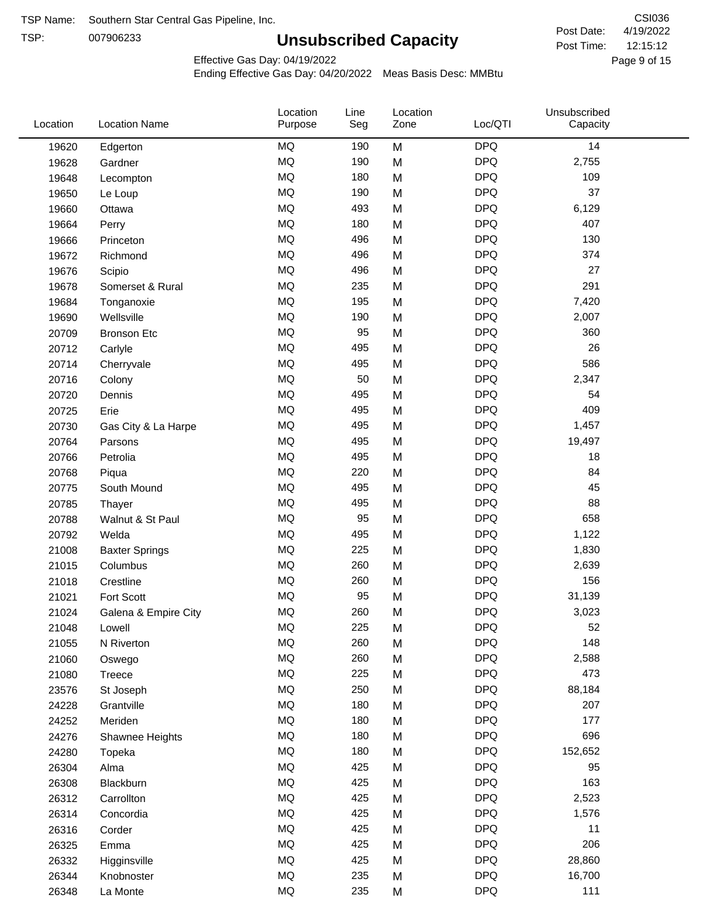TSP:

# **Unsubscribed Capacity**

4/19/2022 Page 9 of 15 12:15:12 CSI036 Post Date: Post Time:

Effective Gas Day: 04/19/2022

| Location | <b>Location Name</b>  | Location<br>Purpose | Line<br>Seg | Location<br>Zone | Loc/QTI    | Unsubscribed<br>Capacity |  |
|----------|-----------------------|---------------------|-------------|------------------|------------|--------------------------|--|
| 19620    | Edgerton              | MQ                  | 190         | M                | <b>DPQ</b> | 14                       |  |
| 19628    | Gardner               | MQ                  | 190         | M                | <b>DPQ</b> | 2,755                    |  |
| 19648    | Lecompton             | <b>MQ</b>           | 180         | M                | <b>DPQ</b> | 109                      |  |
| 19650    | Le Loup               | <b>MQ</b>           | 190         | M                | <b>DPQ</b> | 37                       |  |
| 19660    | Ottawa                | <b>MQ</b>           | 493         | M                | <b>DPQ</b> | 6,129                    |  |
| 19664    | Perry                 | <b>MQ</b>           | 180         | M                | <b>DPQ</b> | 407                      |  |
| 19666    | Princeton             | MQ                  | 496         | M                | <b>DPQ</b> | 130                      |  |
| 19672    | Richmond              | MQ                  | 496         | M                | <b>DPQ</b> | 374                      |  |
| 19676    | Scipio                | <b>MQ</b>           | 496         | M                | <b>DPQ</b> | 27                       |  |
| 19678    | Somerset & Rural      | <b>MQ</b>           | 235         | M                | <b>DPQ</b> | 291                      |  |
| 19684    | Tonganoxie            | MQ                  | 195         | M                | <b>DPQ</b> | 7,420                    |  |
| 19690    | Wellsville            | <b>MQ</b>           | 190         | M                | <b>DPQ</b> | 2,007                    |  |
| 20709    | <b>Bronson Etc</b>    | <b>MQ</b>           | 95          | M                | <b>DPQ</b> | 360                      |  |
| 20712    | Carlyle               | <b>MQ</b>           | 495         | M                | <b>DPQ</b> | 26                       |  |
| 20714    | Cherryvale            | MQ                  | 495         | M                | <b>DPQ</b> | 586                      |  |
| 20716    | Colony                | MQ                  | 50          | M                | <b>DPQ</b> | 2,347                    |  |
| 20720    | Dennis                | MQ                  | 495         | M                | <b>DPQ</b> | 54                       |  |
| 20725    | Erie                  | <b>MQ</b>           | 495         | M                | <b>DPQ</b> | 409                      |  |
| 20730    | Gas City & La Harpe   | <b>MQ</b>           | 495         | M                | <b>DPQ</b> | 1,457                    |  |
| 20764    | Parsons               | <b>MQ</b>           | 495         | M                | <b>DPQ</b> | 19,497                   |  |
| 20766    | Petrolia              | MQ                  | 495         | M                | <b>DPQ</b> | 18                       |  |
| 20768    | Piqua                 | <b>MQ</b>           | 220         | M                | <b>DPQ</b> | 84                       |  |
| 20775    | South Mound           | MQ                  | 495         | M                | <b>DPQ</b> | 45                       |  |
| 20785    | Thayer                | MQ                  | 495         | M                | <b>DPQ</b> | 88                       |  |
| 20788    | Walnut & St Paul      | MQ                  | 95          | M                | <b>DPQ</b> | 658                      |  |
| 20792    | Welda                 | <b>MQ</b>           | 495         | M                | <b>DPQ</b> | 1,122                    |  |
| 21008    | <b>Baxter Springs</b> | <b>MQ</b>           | 225         | M                | <b>DPQ</b> | 1,830                    |  |
| 21015    | Columbus              | MQ                  | 260         | M                | <b>DPQ</b> | 2,639                    |  |
| 21018    | Crestline             | MQ                  | 260         | M                | <b>DPQ</b> | 156                      |  |
| 21021    | Fort Scott            | MQ                  | 95          | M                | <b>DPQ</b> | 31,139                   |  |
| 21024    | Galena & Empire City  | <b>MQ</b>           | 260         | M                | <b>DPQ</b> | 3,023                    |  |
| 21048    | Lowell                | MQ                  | 225         | M                | <b>DPQ</b> | 52                       |  |
| 21055    | N Riverton            | MQ                  | 260         | M                | <b>DPQ</b> | 148                      |  |
| 21060    | Oswego                | $\sf{MQ}$           | 260         | M                | <b>DPQ</b> | 2,588                    |  |
| 21080    | Treece                | MQ                  | 225         | M                | <b>DPQ</b> | 473                      |  |
| 23576    | St Joseph             | MQ                  | 250         | M                | <b>DPQ</b> | 88,184                   |  |
| 24228    | Grantville            | MQ                  | 180         | M                | <b>DPQ</b> | 207                      |  |
| 24252    | Meriden               | MQ                  | 180         | M                | <b>DPQ</b> | 177                      |  |
| 24276    | Shawnee Heights       | MQ                  | 180         | M                | <b>DPQ</b> | 696                      |  |
| 24280    | Topeka                | $\sf{MQ}$           | 180         | M                | <b>DPQ</b> | 152,652                  |  |
| 26304    | Alma                  | MQ                  | 425         | M                | <b>DPQ</b> | 95                       |  |
| 26308    | Blackburn             | MQ                  | 425         | M                | <b>DPQ</b> | 163                      |  |
| 26312    | Carrollton            | MQ                  | 425         | M                | <b>DPQ</b> | 2,523                    |  |
| 26314    | Concordia             | <b>MQ</b>           | 425         | M                | <b>DPQ</b> | 1,576                    |  |
| 26316    | Corder                | $\sf{MQ}$           | 425         | M                | <b>DPQ</b> | 11                       |  |
| 26325    | Emma                  | MQ                  | 425         | M                | <b>DPQ</b> | 206                      |  |
| 26332    | Higginsville          | MQ                  | 425         | M                | <b>DPQ</b> | 28,860                   |  |
| 26344    | Knobnoster            | $\sf{MQ}$           | 235         | M                | <b>DPQ</b> | 16,700                   |  |
| 26348    | La Monte              | $\sf{MQ}$           | 235         | M                | <b>DPQ</b> | 111                      |  |
|          |                       |                     |             |                  |            |                          |  |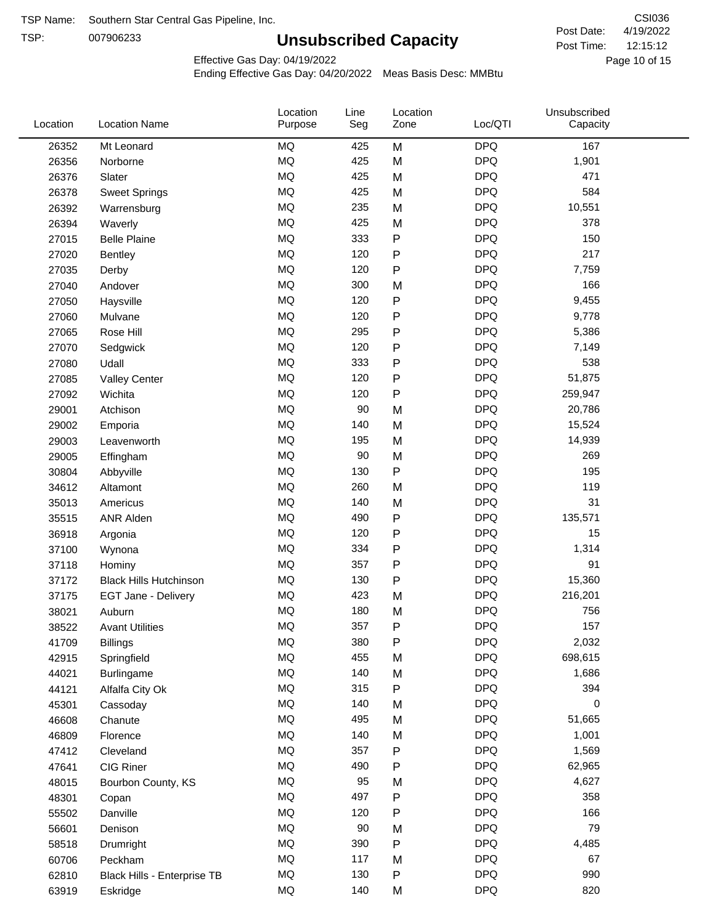TSP:

# **Unsubscribed Capacity**

4/19/2022 Page 10 of 15 12:15:12 CSI036 Post Date: Post Time:

Effective Gas Day: 04/19/2022

| Location | <b>Location Name</b>          | Location<br>Purpose | Line<br>Seg | Location<br>Zone | Loc/QTI    | Unsubscribed<br>Capacity |  |
|----------|-------------------------------|---------------------|-------------|------------------|------------|--------------------------|--|
| 26352    | Mt Leonard                    | <b>MQ</b>           | 425         | M                | <b>DPQ</b> | 167                      |  |
| 26356    | Norborne                      | MQ                  | 425         | M                | <b>DPQ</b> | 1,901                    |  |
| 26376    | Slater                        | MQ                  | 425         | M                | <b>DPQ</b> | 471                      |  |
| 26378    | <b>Sweet Springs</b>          | MQ                  | 425         | M                | <b>DPQ</b> | 584                      |  |
| 26392    | Warrensburg                   | <b>MQ</b>           | 235         | M                | <b>DPQ</b> | 10,551                   |  |
| 26394    | Waverly                       | <b>MQ</b>           | 425         | M                | <b>DPQ</b> | 378                      |  |
| 27015    | <b>Belle Plaine</b>           | MQ                  | 333         | P                | <b>DPQ</b> | 150                      |  |
| 27020    | Bentley                       | <b>MQ</b>           | 120         | P                | <b>DPQ</b> | 217                      |  |
| 27035    | Derby                         | MQ                  | 120         | P                | <b>DPQ</b> | 7,759                    |  |
| 27040    | Andover                       | MQ                  | 300         | M                | <b>DPQ</b> | 166                      |  |
| 27050    | Haysville                     | MQ                  | 120         | P                | <b>DPQ</b> | 9,455                    |  |
| 27060    | Mulvane                       | MQ                  | 120         | P                | <b>DPQ</b> | 9,778                    |  |
| 27065    | Rose Hill                     | MQ                  | 295         | P                | <b>DPQ</b> | 5,386                    |  |
| 27070    | Sedgwick                      | <b>MQ</b>           | 120         | P                | <b>DPQ</b> | 7,149                    |  |
| 27080    | Udall                         | <b>MQ</b>           | 333         | P                | <b>DPQ</b> | 538                      |  |
| 27085    | <b>Valley Center</b>          | <b>MQ</b>           | 120         | P                | <b>DPQ</b> | 51,875                   |  |
| 27092    | Wichita                       | MQ                  | 120         | P                | <b>DPQ</b> | 259,947                  |  |
| 29001    | Atchison                      | <b>MQ</b>           | 90          | M                | <b>DPQ</b> | 20,786                   |  |
| 29002    | Emporia                       | <b>MQ</b>           | 140         | M                | <b>DPQ</b> | 15,524                   |  |
| 29003    | Leavenworth                   | MQ                  | 195         | M                | <b>DPQ</b> | 14,939                   |  |
| 29005    | Effingham                     | MQ                  | 90          | M                | <b>DPQ</b> | 269                      |  |
| 30804    | Abbyville                     | <b>MQ</b>           | 130         | ${\sf P}$        | <b>DPQ</b> | 195                      |  |
| 34612    | Altamont                      | <b>MQ</b>           | 260         | M                | <b>DPQ</b> | 119                      |  |
| 35013    | Americus                      | MQ                  | 140         | M                | <b>DPQ</b> | 31                       |  |
| 35515    | <b>ANR Alden</b>              | MQ                  | 490         | P                | <b>DPQ</b> | 135,571                  |  |
| 36918    | Argonia                       | MQ                  | 120         | P                | <b>DPQ</b> | 15                       |  |
| 37100    | Wynona                        | <b>MQ</b>           | 334         | P                | <b>DPQ</b> | 1,314                    |  |
| 37118    | Hominy                        | <b>MQ</b>           | 357         | P                | <b>DPQ</b> | 91                       |  |
| 37172    | <b>Black Hills Hutchinson</b> | MQ                  | 130         | P                | <b>DPQ</b> | 15,360                   |  |
| 37175    | EGT Jane - Delivery           | MQ                  | 423         | M                | <b>DPQ</b> | 216,201                  |  |
| 38021    | Auburn                        | MQ                  | 180         | M                | <b>DPQ</b> | 756                      |  |
| 38522    | <b>Avant Utilities</b>        | MQ                  | 357         | P                | <b>DPQ</b> | 157                      |  |
| 41709    | <b>Billings</b>               | MQ                  | 380         | P                | <b>DPQ</b> | 2,032                    |  |
| 42915    | Springfield                   | $\sf{MQ}$           | 455         | M                | <b>DPQ</b> | 698,615                  |  |
| 44021    | Burlingame                    | $\sf{MQ}$           | 140         | M                | <b>DPQ</b> | 1,686                    |  |
| 44121    | Alfalfa City Ok               | MQ                  | 315         | ${\sf P}$        | <b>DPQ</b> | 394                      |  |
| 45301    | Cassoday                      | MQ                  | 140         | M                | <b>DPQ</b> | 0                        |  |
| 46608    | Chanute                       | MQ                  | 495         | M                | <b>DPQ</b> | 51,665                   |  |
| 46809    | Florence                      | MQ                  | 140         | M                | <b>DPQ</b> | 1,001                    |  |
| 47412    | Cleveland                     | MQ                  | 357         | P                | <b>DPQ</b> | 1,569                    |  |
| 47641    | CIG Riner                     | MQ                  | 490         | P                | <b>DPQ</b> | 62,965                   |  |
| 48015    | Bourbon County, KS            | MQ                  | 95          | M                | <b>DPQ</b> | 4,627                    |  |
| 48301    | Copan                         | $\sf{MQ}$           | 497         | ${\sf P}$        | <b>DPQ</b> | 358                      |  |
| 55502    | Danville                      | $\sf{MQ}$           | 120         | P                | <b>DPQ</b> | 166                      |  |
| 56601    | Denison                       | MQ                  | 90          | M                | <b>DPQ</b> | 79                       |  |
| 58518    | Drumright                     | MQ                  | 390         | P                | <b>DPQ</b> | 4,485                    |  |
| 60706    | Peckham                       | MQ                  | 117         | M                | <b>DPQ</b> | 67                       |  |
| 62810    | Black Hills - Enterprise TB   | $\sf{MQ}$           | 130         | P                | <b>DPQ</b> | 990                      |  |
| 63919    | Eskridge                      | $\sf{MQ}$           | 140         | M                | <b>DPQ</b> | 820                      |  |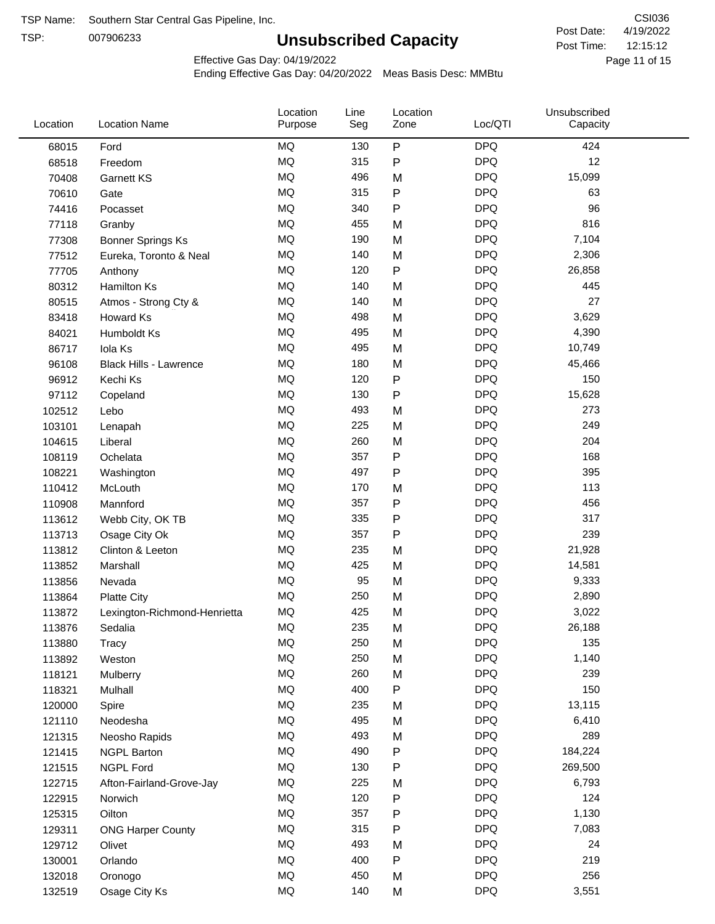TSP:

# **Unsubscribed Capacity**

4/19/2022 Page 11 of 15 12:15:12 CSI036 Post Date: Post Time:

Effective Gas Day: 04/19/2022

| Location | <b>Location Name</b>          | Location<br>Purpose | Line<br>Seg | Location<br>Zone | Loc/QTI    | Unsubscribed<br>Capacity |  |
|----------|-------------------------------|---------------------|-------------|------------------|------------|--------------------------|--|
| 68015    | Ford                          | <b>MQ</b>           | 130         | $\sf P$          | <b>DPQ</b> | 424                      |  |
| 68518    | Freedom                       | MQ                  | 315         | ${\sf P}$        | <b>DPQ</b> | 12                       |  |
| 70408    | <b>Garnett KS</b>             | <b>MQ</b>           | 496         | M                | <b>DPQ</b> | 15,099                   |  |
| 70610    | Gate                          | <b>MQ</b>           | 315         | ${\sf P}$        | <b>DPQ</b> | 63                       |  |
| 74416    | Pocasset                      | <b>MQ</b>           | 340         | P                | <b>DPQ</b> | 96                       |  |
| 77118    | Granby                        | <b>MQ</b>           | 455         | M                | <b>DPQ</b> | 816                      |  |
| 77308    | <b>Bonner Springs Ks</b>      | MQ                  | 190         | M                | <b>DPQ</b> | 7,104                    |  |
| 77512    | Eureka, Toronto & Neal        | <b>MQ</b>           | 140         | M                | <b>DPQ</b> | 2,306                    |  |
| 77705    | Anthony                       | <b>MQ</b>           | 120         | ${\sf P}$        | <b>DPQ</b> | 26,858                   |  |
| 80312    | <b>Hamilton Ks</b>            | <b>MQ</b>           | 140         | M                | <b>DPQ</b> | 445                      |  |
| 80515    | Atmos - Strong Cty &          | MQ                  | 140         | M                | <b>DPQ</b> | 27                       |  |
| 83418    | Howard Ks                     | <b>MQ</b>           | 498         | M                | <b>DPQ</b> | 3,629                    |  |
| 84021    | Humboldt Ks                   | <b>MQ</b>           | 495         | M                | <b>DPQ</b> | 4,390                    |  |
| 86717    | Iola Ks                       | <b>MQ</b>           | 495         | M                | <b>DPQ</b> | 10,749                   |  |
| 96108    | <b>Black Hills - Lawrence</b> | <b>MQ</b>           | 180         | M                | <b>DPQ</b> | 45,466                   |  |
| 96912    | Kechi Ks                      | MQ                  | 120         | ${\sf P}$        | <b>DPQ</b> | 150                      |  |
| 97112    | Copeland                      | <b>MQ</b>           | 130         | P                | <b>DPQ</b> | 15,628                   |  |
| 102512   | Lebo                          | <b>MQ</b>           | 493         | M                | <b>DPQ</b> | 273                      |  |
| 103101   | Lenapah                       | <b>MQ</b>           | 225         | M                | <b>DPQ</b> | 249                      |  |
| 104615   | Liberal                       | MQ                  | 260         | M                | <b>DPQ</b> | 204                      |  |
| 108119   | Ochelata                      | MQ                  | 357         | ${\sf P}$        | <b>DPQ</b> | 168                      |  |
| 108221   | Washington                    | <b>MQ</b>           | 497         | P                | <b>DPQ</b> | 395                      |  |
| 110412   | McLouth                       | <b>MQ</b>           | 170         | M                | <b>DPQ</b> | 113                      |  |
| 110908   | Mannford                      | <b>MQ</b>           | 357         | ${\sf P}$        | <b>DPQ</b> | 456                      |  |
| 113612   | Webb City, OK TB              | <b>MQ</b>           | 335         | P                | <b>DPQ</b> | 317                      |  |
| 113713   | Osage City Ok                 | <b>MQ</b>           | 357         | P                | <b>DPQ</b> | 239                      |  |
| 113812   | Clinton & Leeton              | <b>MQ</b>           | 235         | M                | <b>DPQ</b> | 21,928                   |  |
| 113852   | Marshall                      | MQ                  | 425         | M                | <b>DPQ</b> | 14,581                   |  |
| 113856   | Nevada                        | MQ                  | 95          | M                | <b>DPQ</b> | 9,333                    |  |
| 113864   | <b>Platte City</b>            | MQ                  | 250         | M                | <b>DPQ</b> | 2,890                    |  |
| 113872   | Lexington-Richmond-Henrietta  | MQ                  | 425         | M                | <b>DPQ</b> | 3,022                    |  |
| 113876   | Sedalia                       | MQ                  | 235         | М                | <b>DPQ</b> | 26,188                   |  |
| 113880   | Tracy                         | MQ                  | 250         | M                | <b>DPQ</b> | 135                      |  |
| 113892   | Weston                        | MQ                  | 250         | M                | <b>DPQ</b> | 1,140                    |  |
| 118121   | Mulberry                      | MQ                  | 260         | M                | <b>DPQ</b> | 239                      |  |
| 118321   | Mulhall                       | MQ                  | 400         | P                | <b>DPQ</b> | 150                      |  |
| 120000   | Spire                         | MQ                  | 235         | M                | <b>DPQ</b> | 13,115                   |  |
| 121110   | Neodesha                      | MQ                  | 495         | M                | <b>DPQ</b> | 6,410                    |  |
| 121315   | Neosho Rapids                 | $\sf{MQ}$           | 493         | M                | <b>DPQ</b> | 289                      |  |
| 121415   | <b>NGPL Barton</b>            | MQ                  | 490         | P                | <b>DPQ</b> | 184,224                  |  |
| 121515   | <b>NGPL Ford</b>              | MQ                  | 130         | P                | <b>DPQ</b> | 269,500                  |  |
| 122715   | Afton-Fairland-Grove-Jay      | MQ                  | 225         | M                | <b>DPQ</b> | 6,793                    |  |
| 122915   | Norwich                       | MQ                  | 120         | P                | <b>DPQ</b> | 124                      |  |
| 125315   | Oilton                        | MQ                  | 357         | ${\sf P}$        | <b>DPQ</b> | 1,130                    |  |
| 129311   | <b>ONG Harper County</b>      | MQ                  | 315         | P                | <b>DPQ</b> | 7,083                    |  |
| 129712   | Olivet                        | MQ                  | 493         | M                | <b>DPQ</b> | 24                       |  |
| 130001   | Orlando                       | MQ                  | 400         | ${\sf P}$        | <b>DPQ</b> | 219                      |  |
| 132018   | Oronogo                       | MQ                  | 450         | M                | <b>DPQ</b> | 256                      |  |
| 132519   | Osage City Ks                 | $\sf{MQ}$           | 140         | M                | <b>DPQ</b> | 3,551                    |  |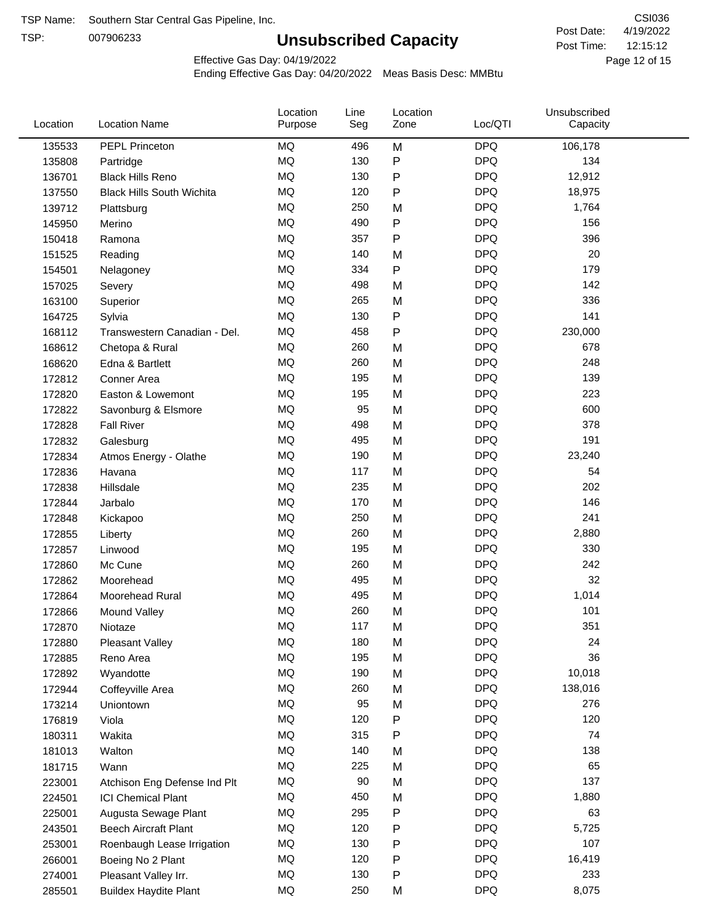TSP:

# **Unsubscribed Capacity**

4/19/2022 Page 12 of 15 12:15:12 CSI036 Post Date: Post Time:

Effective Gas Day: 04/19/2022

| Location | <b>Location Name</b>             | Location<br>Purpose | Line<br>Seg | Location<br>Zone | Loc/QTI    | Unsubscribed<br>Capacity |  |
|----------|----------------------------------|---------------------|-------------|------------------|------------|--------------------------|--|
| 135533   | PEPL Princeton                   | <b>MQ</b>           | 496         | M                | <b>DPQ</b> | 106,178                  |  |
| 135808   | Partridge                        | <b>MQ</b>           | 130         | P                | <b>DPQ</b> | 134                      |  |
| 136701   | <b>Black Hills Reno</b>          | MQ                  | 130         | P                | <b>DPQ</b> | 12,912                   |  |
| 137550   | <b>Black Hills South Wichita</b> | <b>MQ</b>           | 120         | P                | <b>DPQ</b> | 18,975                   |  |
| 139712   | Plattsburg                       | <b>MQ</b>           | 250         | M                | <b>DPQ</b> | 1,764                    |  |
| 145950   | Merino                           | <b>MQ</b>           | 490         | P                | <b>DPQ</b> | 156                      |  |
| 150418   | Ramona                           | <b>MQ</b>           | 357         | Ρ                | <b>DPQ</b> | 396                      |  |
| 151525   | Reading                          | <b>MQ</b>           | 140         | M                | <b>DPQ</b> | 20                       |  |
| 154501   | Nelagoney                        | MQ                  | 334         | P                | <b>DPQ</b> | 179                      |  |
| 157025   | Severy                           | <b>MQ</b>           | 498         | M                | <b>DPQ</b> | 142                      |  |
| 163100   | Superior                         | <b>MQ</b>           | 265         | M                | <b>DPQ</b> | 336                      |  |
| 164725   | Sylvia                           | <b>MQ</b>           | 130         | P                | <b>DPQ</b> | 141                      |  |
| 168112   | Transwestern Canadian - Del.     | <b>MQ</b>           | 458         | P                | <b>DPQ</b> | 230,000                  |  |
| 168612   | Chetopa & Rural                  | <b>MQ</b>           | 260         | M                | <b>DPQ</b> | 678                      |  |
| 168620   | Edna & Bartlett                  | <b>MQ</b>           | 260         | M                | <b>DPQ</b> | 248                      |  |
| 172812   | Conner Area                      | <b>MQ</b>           | 195         | M                | <b>DPQ</b> | 139                      |  |
| 172820   | Easton & Lowemont                | MQ                  | 195         | M                | <b>DPQ</b> | 223                      |  |
| 172822   | Savonburg & Elsmore              | MQ                  | 95          | M                | <b>DPQ</b> | 600                      |  |
| 172828   | <b>Fall River</b>                | <b>MQ</b>           | 498         | M                | <b>DPQ</b> | 378                      |  |
| 172832   | Galesburg                        | <b>MQ</b>           | 495         | M                | <b>DPQ</b> | 191                      |  |
| 172834   | Atmos Energy - Olathe            | <b>MQ</b>           | 190         | M                | <b>DPQ</b> | 23,240                   |  |
| 172836   | Havana                           | <b>MQ</b>           | 117         | M                | <b>DPQ</b> | 54                       |  |
| 172838   | Hillsdale                        | <b>MQ</b>           | 235         | M                | <b>DPQ</b> | 202                      |  |
| 172844   | Jarbalo                          | <b>MQ</b>           | 170         | M                | <b>DPQ</b> | 146                      |  |
| 172848   | Kickapoo                         | <b>MQ</b>           | 250         | M                | <b>DPQ</b> | 241                      |  |
| 172855   | Liberty                          | <b>MQ</b>           | 260         | M                | <b>DPQ</b> | 2,880                    |  |
| 172857   | Linwood                          | <b>MQ</b>           | 195         | M                | <b>DPQ</b> | 330                      |  |
| 172860   | Mc Cune                          | <b>MQ</b>           | 260         | M                | <b>DPQ</b> | 242                      |  |
| 172862   | Moorehead                        | <b>MQ</b>           | 495         | M                | <b>DPQ</b> | 32                       |  |
| 172864   | Moorehead Rural                  | <b>MQ</b>           | 495         | M                | <b>DPQ</b> | 1,014                    |  |
| 172866   | Mound Valley                     | <b>MQ</b>           | 260         | M                | <b>DPQ</b> | 101                      |  |
| 172870   | Niotaze                          | MQ                  | 117         | M                | <b>DPQ</b> | 351                      |  |
| 172880   | <b>Pleasant Valley</b>           | MQ                  | 180         | M                | <b>DPQ</b> | 24                       |  |
| 172885   | Reno Area                        | <b>MQ</b>           | 195         | M                | <b>DPQ</b> | 36                       |  |
| 172892   | Wyandotte                        | MQ                  | 190         | M                | <b>DPQ</b> | 10,018                   |  |
| 172944   | Coffeyville Area                 | <b>MQ</b>           | 260         | M                | <b>DPQ</b> | 138,016                  |  |
| 173214   | Uniontown                        | <b>MQ</b>           | 95          | M                | <b>DPQ</b> | 276                      |  |
| 176819   | Viola                            | <b>MQ</b>           | 120         | Ρ                | <b>DPQ</b> | 120                      |  |
| 180311   | Wakita                           | <b>MQ</b>           | 315         | Ρ                | <b>DPQ</b> | 74                       |  |
| 181013   | Walton                           | MQ                  | 140         | M                | <b>DPQ</b> | 138                      |  |
| 181715   | Wann                             | MQ                  | 225         | M                | <b>DPQ</b> | 65                       |  |
| 223001   | Atchison Eng Defense Ind Plt     | MQ                  | 90          | M                | <b>DPQ</b> | 137                      |  |
| 224501   | <b>ICI Chemical Plant</b>        | <b>MQ</b>           | 450         | M                | <b>DPQ</b> | 1,880                    |  |
| 225001   | Augusta Sewage Plant             | MQ                  | 295         | Ρ                | <b>DPQ</b> | 63                       |  |
| 243501   | <b>Beech Aircraft Plant</b>      | MQ                  | 120         | Ρ                | <b>DPQ</b> | 5,725                    |  |
| 253001   | Roenbaugh Lease Irrigation       | MQ                  | 130         | Ρ                | <b>DPQ</b> | 107                      |  |
| 266001   | Boeing No 2 Plant                | MQ                  | 120         | P                | <b>DPQ</b> | 16,419                   |  |
| 274001   | Pleasant Valley Irr.             | MQ                  | 130         | Ρ                | <b>DPQ</b> | 233                      |  |
| 285501   | <b>Buildex Haydite Plant</b>     | <b>MQ</b>           | 250         | M                | <b>DPQ</b> | 8,075                    |  |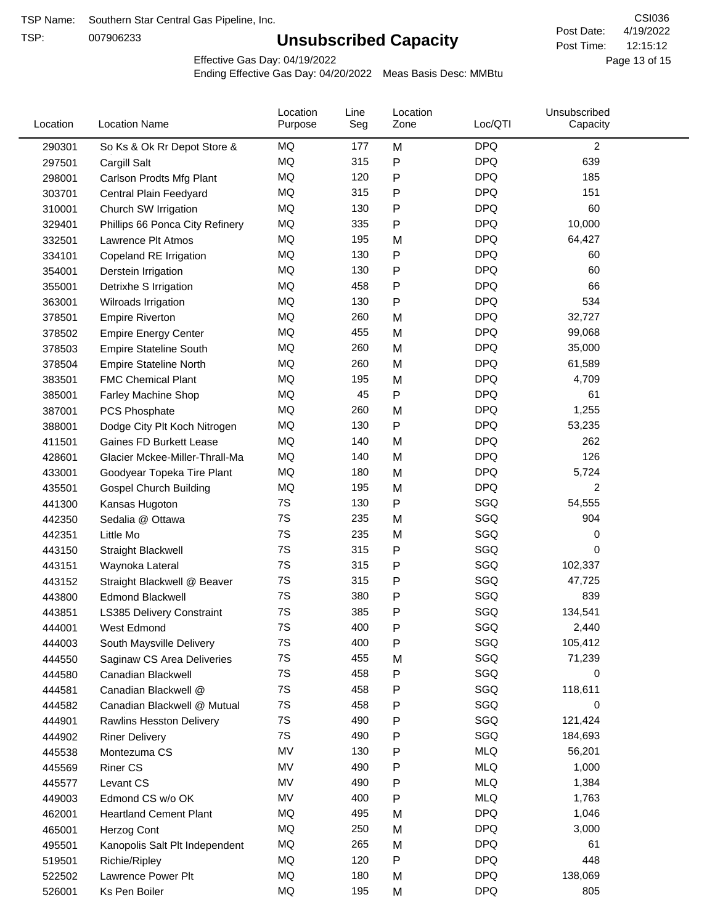TSP:

# **Unsubscribed Capacity**

4/19/2022 Page 13 of 15 12:15:12 CSI036 Post Date: Post Time:

Effective Gas Day: 04/19/2022

| Location | <b>Location Name</b>             | Location<br>Purpose | Line<br>Seg | Location<br>Zone | Loc/QTI    | Unsubscribed<br>Capacity |  |
|----------|----------------------------------|---------------------|-------------|------------------|------------|--------------------------|--|
| 290301   | So Ks & Ok Rr Depot Store &      | MQ                  | 177         | M                | <b>DPQ</b> | 2                        |  |
| 297501   | Cargill Salt                     | MQ                  | 315         | Ρ                | <b>DPQ</b> | 639                      |  |
| 298001   | Carlson Prodts Mfg Plant         | <b>MQ</b>           | 120         | Ρ                | <b>DPQ</b> | 185                      |  |
| 303701   | Central Plain Feedyard           | <b>MQ</b>           | 315         | Ρ                | <b>DPQ</b> | 151                      |  |
| 310001   | Church SW Irrigation             | MQ                  | 130         | Ρ                | <b>DPQ</b> | 60                       |  |
| 329401   | Phillips 66 Ponca City Refinery  | MQ                  | 335         | Ρ                | <b>DPQ</b> | 10,000                   |  |
| 332501   | Lawrence Plt Atmos               | MQ                  | 195         | M                | <b>DPQ</b> | 64,427                   |  |
| 334101   | Copeland RE Irrigation           | MQ                  | 130         | P                | <b>DPQ</b> | 60                       |  |
| 354001   | Derstein Irrigation              | MQ                  | 130         | Ρ                | <b>DPQ</b> | 60                       |  |
| 355001   | Detrixhe S Irrigation            | MQ                  | 458         | Ρ                | <b>DPQ</b> | 66                       |  |
| 363001   | Wilroads Irrigation              | MQ                  | 130         | Ρ                | <b>DPQ</b> | 534                      |  |
| 378501   | <b>Empire Riverton</b>           | MQ                  | 260         | M                | <b>DPQ</b> | 32,727                   |  |
| 378502   | <b>Empire Energy Center</b>      | MQ                  | 455         | M                | <b>DPQ</b> | 99,068                   |  |
| 378503   | <b>Empire Stateline South</b>    | MQ                  | 260         | M                | <b>DPQ</b> | 35,000                   |  |
| 378504   | <b>Empire Stateline North</b>    | MQ                  | 260         | M                | <b>DPQ</b> | 61,589                   |  |
| 383501   | <b>FMC Chemical Plant</b>        | MQ                  | 195         | M                | <b>DPQ</b> | 4,709                    |  |
| 385001   | <b>Farley Machine Shop</b>       | MQ                  | 45          | Ρ                | <b>DPQ</b> | 61                       |  |
| 387001   | PCS Phosphate                    | <b>MQ</b>           | 260         | M                | <b>DPQ</b> | 1,255                    |  |
| 388001   | Dodge City Plt Koch Nitrogen     | MQ                  | 130         | Ρ                | <b>DPQ</b> | 53,235                   |  |
| 411501   | <b>Gaines FD Burkett Lease</b>   | MQ                  | 140         | M                | <b>DPQ</b> | 262                      |  |
| 428601   | Glacier Mckee-Miller-Thrall-Ma   | MQ                  | 140         | M                | <b>DPQ</b> | 126                      |  |
| 433001   | Goodyear Topeka Tire Plant       | MQ                  | 180         | M                | <b>DPQ</b> | 5,724                    |  |
| 435501   | <b>Gospel Church Building</b>    | MQ                  | 195         | M                | <b>DPQ</b> | $\overline{c}$           |  |
| 441300   | Kansas Hugoton                   | 7S                  | 130         | Ρ                | SGQ        | 54,555                   |  |
| 442350   | Sedalia @ Ottawa                 | 7S                  | 235         | M                | SGQ        | 904                      |  |
| 442351   | Little Mo                        | 7S                  | 235         | M                | SGQ        | 0                        |  |
| 443150   | <b>Straight Blackwell</b>        | 7S                  | 315         | P                | SGQ        | 0                        |  |
| 443151   | Waynoka Lateral                  | 7S                  | 315         | Ρ                | SGQ        | 102,337                  |  |
| 443152   | Straight Blackwell @ Beaver      | 7S                  | 315         | Ρ                | SGQ        | 47,725                   |  |
| 443800   | <b>Edmond Blackwell</b>          | 7S                  | 380         | Ρ                | SGQ        | 839                      |  |
| 443851   | <b>LS385 Delivery Constraint</b> | 7S                  | 385         | Ρ                | SGQ        | 134,541                  |  |
| 444001   | West Edmond                      | 7S                  | 400         | Ρ                | SGQ        | 2,440                    |  |
| 444003   | South Maysville Delivery         | 7S                  | 400         | Ρ                | SGQ        | 105,412                  |  |
| 444550   | Saginaw CS Area Deliveries       | 7S                  | 455         | M                | SGQ        | 71,239                   |  |
| 444580   | Canadian Blackwell               | 7S                  | 458         | Ρ                | SGQ        | 0                        |  |
| 444581   | Canadian Blackwell @             | 7S                  | 458         | Ρ                | SGQ        | 118,611                  |  |
| 444582   | Canadian Blackwell @ Mutual      | 7S                  | 458         | Ρ                | SGQ        | 0                        |  |
| 444901   | <b>Rawlins Hesston Delivery</b>  | 7S                  | 490         | Ρ                | SGQ        | 121,424                  |  |
| 444902   | <b>Riner Delivery</b>            | 7S                  | 490         | Ρ                | SGQ        | 184,693                  |  |
| 445538   | Montezuma CS                     | MV                  | 130         | Ρ                | <b>MLQ</b> | 56,201                   |  |
| 445569   | <b>Riner CS</b>                  | MV                  | 490         | Ρ                | <b>MLQ</b> | 1,000                    |  |
| 445577   | Levant CS                        | MV                  | 490         | Ρ                | <b>MLQ</b> | 1,384                    |  |
| 449003   | Edmond CS w/o OK                 | MV                  | 400         | Ρ                | <b>MLQ</b> | 1,763                    |  |
| 462001   | <b>Heartland Cement Plant</b>    | MQ                  | 495         | M                | <b>DPQ</b> | 1,046                    |  |
| 465001   | Herzog Cont                      | MQ                  | 250         | M                | <b>DPQ</b> | 3,000                    |  |
| 495501   | Kanopolis Salt Plt Independent   | MQ                  | 265         | M                | <b>DPQ</b> | 61                       |  |
| 519501   | Richie/Ripley                    | MQ                  | 120         | Ρ                | <b>DPQ</b> | 448                      |  |
| 522502   | Lawrence Power Plt               | MQ                  | 180         | M                | <b>DPQ</b> | 138,069                  |  |
| 526001   | Ks Pen Boiler                    | MQ                  | 195         | M                | <b>DPQ</b> | 805                      |  |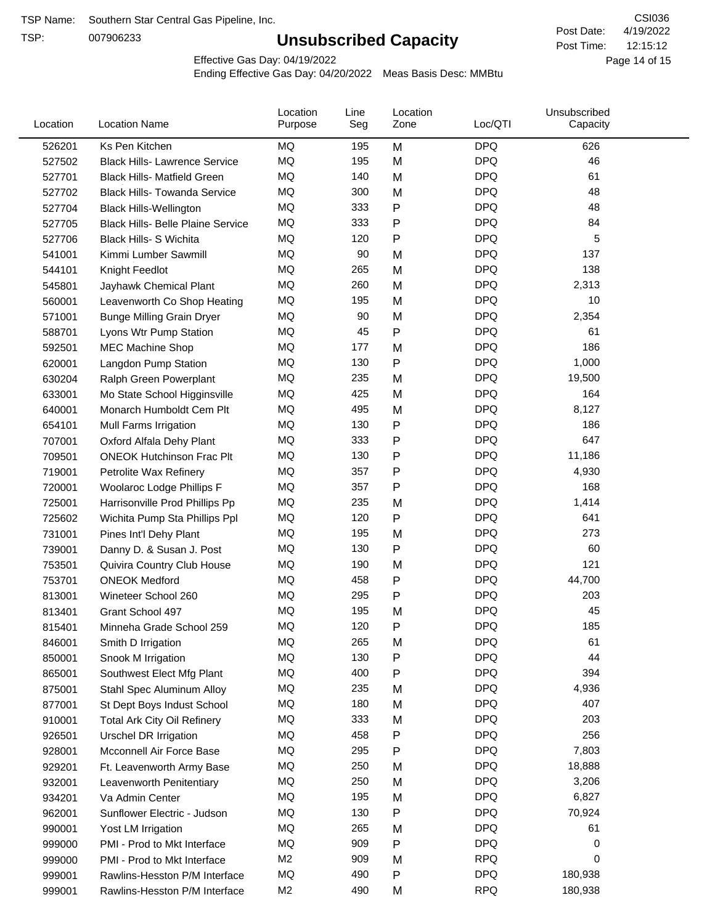TSP:

# **Unsubscribed Capacity**

4/19/2022 Page 14 of 15 12:15:12 CSI036 Post Date: Post Time:

Effective Gas Day: 04/19/2022

| Location | <b>Location Name</b>                     | Location<br>Purpose | Line<br>Seg | Location<br>Zone | Loc/QTI    | Unsubscribed<br>Capacity |  |
|----------|------------------------------------------|---------------------|-------------|------------------|------------|--------------------------|--|
| 526201   | Ks Pen Kitchen                           | MQ                  | 195         | M                | <b>DPQ</b> | 626                      |  |
| 527502   | <b>Black Hills- Lawrence Service</b>     | MQ                  | 195         | M                | <b>DPQ</b> | 46                       |  |
| 527701   | <b>Black Hills- Matfield Green</b>       | <b>MQ</b>           | 140         | M                | <b>DPQ</b> | 61                       |  |
| 527702   | <b>Black Hills- Towanda Service</b>      | MQ                  | 300         | M                | <b>DPQ</b> | 48                       |  |
| 527704   | <b>Black Hills-Wellington</b>            | MQ                  | 333         | Ρ                | <b>DPQ</b> | 48                       |  |
| 527705   | <b>Black Hills- Belle Plaine Service</b> | MQ                  | 333         | Ρ                | <b>DPQ</b> | 84                       |  |
| 527706   | <b>Black Hills- S Wichita</b>            | MQ                  | 120         | Ρ                | <b>DPQ</b> | 5                        |  |
| 541001   | Kimmi Lumber Sawmill                     | MQ                  | 90          | M                | <b>DPQ</b> | 137                      |  |
| 544101   | Knight Feedlot                           | MQ                  | 265         | M                | <b>DPQ</b> | 138                      |  |
| 545801   | Jayhawk Chemical Plant                   | MQ                  | 260         | M                | <b>DPQ</b> | 2,313                    |  |
| 560001   | Leavenworth Co Shop Heating              | MQ                  | 195         | M                | <b>DPQ</b> | 10                       |  |
| 571001   | <b>Bunge Milling Grain Dryer</b>         | MQ                  | 90          | M                | <b>DPQ</b> | 2,354                    |  |
| 588701   | Lyons Wtr Pump Station                   | <b>MQ</b>           | 45          | P                | <b>DPQ</b> | 61                       |  |
| 592501   | <b>MEC Machine Shop</b>                  | MQ                  | 177         | M                | <b>DPQ</b> | 186                      |  |
| 620001   | Langdon Pump Station                     | MQ                  | 130         | Ρ                | <b>DPQ</b> | 1,000                    |  |
| 630204   | Ralph Green Powerplant                   | MQ                  | 235         | M                | <b>DPQ</b> | 19,500                   |  |
| 633001   | Mo State School Higginsville             | MQ                  | 425         | M                | <b>DPQ</b> | 164                      |  |
| 640001   | Monarch Humboldt Cem Plt                 | MQ                  | 495         | M                | <b>DPQ</b> | 8,127                    |  |
| 654101   | Mull Farms Irrigation                    | MQ                  | 130         | P                | <b>DPQ</b> | 186                      |  |
| 707001   | Oxford Alfala Dehy Plant                 | MQ                  | 333         | Ρ                | <b>DPQ</b> | 647                      |  |
| 709501   | <b>ONEOK Hutchinson Frac Plt</b>         | MQ                  | 130         | Ρ                | <b>DPQ</b> | 11,186                   |  |
| 719001   | Petrolite Wax Refinery                   | <b>MQ</b>           | 357         | Ρ                | <b>DPQ</b> | 4,930                    |  |
| 720001   | Woolaroc Lodge Phillips F                | MQ                  | 357         | $\mathsf{P}$     | <b>DPQ</b> | 168                      |  |
| 725001   | Harrisonville Prod Phillips Pp           | MQ                  | 235         | M                | <b>DPQ</b> | 1,414                    |  |
| 725602   | Wichita Pump Sta Phillips Ppl            | MQ                  | 120         | Ρ                | <b>DPQ</b> | 641                      |  |
| 731001   | Pines Int'l Dehy Plant                   | MQ                  | 195         | M                | <b>DPQ</b> | 273                      |  |
| 739001   | Danny D. & Susan J. Post                 | MQ                  | 130         | Ρ                | <b>DPQ</b> | 60                       |  |
| 753501   | Quivira Country Club House               | MQ                  | 190         | M                | <b>DPQ</b> | 121                      |  |
| 753701   | <b>ONEOK Medford</b>                     | MQ                  | 458         | P                | <b>DPQ</b> | 44,700                   |  |
| 813001   | Wineteer School 260                      | MQ                  | 295         | P                | <b>DPQ</b> | 203                      |  |
| 813401   | Grant School 497                         | MQ                  | 195         | M                | <b>DPQ</b> | 45                       |  |
| 815401   | Minneha Grade School 259                 | MQ                  | 120         | P                | <b>DPQ</b> | 185                      |  |
| 846001   | Smith D Irrigation                       | MQ                  | 265         | M                | <b>DPQ</b> | 61                       |  |
| 850001   | Snook M Irrigation                       | MQ                  | 130         | P                | <b>DPQ</b> | 44                       |  |
| 865001   | Southwest Elect Mfg Plant                | <b>MQ</b>           | 400         | Ρ                | <b>DPQ</b> | 394                      |  |
| 875001   | Stahl Spec Aluminum Alloy                | <b>MQ</b>           | 235         | M                | <b>DPQ</b> | 4,936                    |  |
| 877001   | St Dept Boys Indust School               | MQ                  | 180         | M                | <b>DPQ</b> | 407                      |  |
| 910001   | <b>Total Ark City Oil Refinery</b>       | MQ                  | 333         | M                | <b>DPQ</b> | 203                      |  |
| 926501   | <b>Urschel DR Irrigation</b>             | MQ                  | 458         | Ρ                | <b>DPQ</b> | 256                      |  |
| 928001   | Mcconnell Air Force Base                 | MQ                  | 295         | P                | <b>DPQ</b> | 7,803                    |  |
| 929201   | Ft. Leavenworth Army Base                | MQ                  | 250         | M                | <b>DPQ</b> | 18,888                   |  |
| 932001   | Leavenworth Penitentiary                 | MQ                  | 250         | M                | <b>DPQ</b> | 3,206                    |  |
| 934201   | Va Admin Center                          | MQ                  | 195         | M                | <b>DPQ</b> | 6,827                    |  |
| 962001   | Sunflower Electric - Judson              | <b>MQ</b>           | 130         | Ρ                | <b>DPQ</b> | 70,924                   |  |
| 990001   | Yost LM Irrigation                       | MQ                  | 265         | M                | <b>DPQ</b> | 61                       |  |
| 999000   | PMI - Prod to Mkt Interface              | MQ                  | 909         | Ρ                | <b>DPQ</b> | 0                        |  |
| 999000   | PMI - Prod to Mkt Interface              | M <sub>2</sub>      | 909         | M                | <b>RPQ</b> | 0                        |  |
| 999001   | Rawlins-Hesston P/M Interface            | MQ                  | 490         | P                | <b>DPQ</b> | 180,938                  |  |
| 999001   | Rawlins-Hesston P/M Interface            | M <sub>2</sub>      | 490         | M                | <b>RPQ</b> | 180,938                  |  |